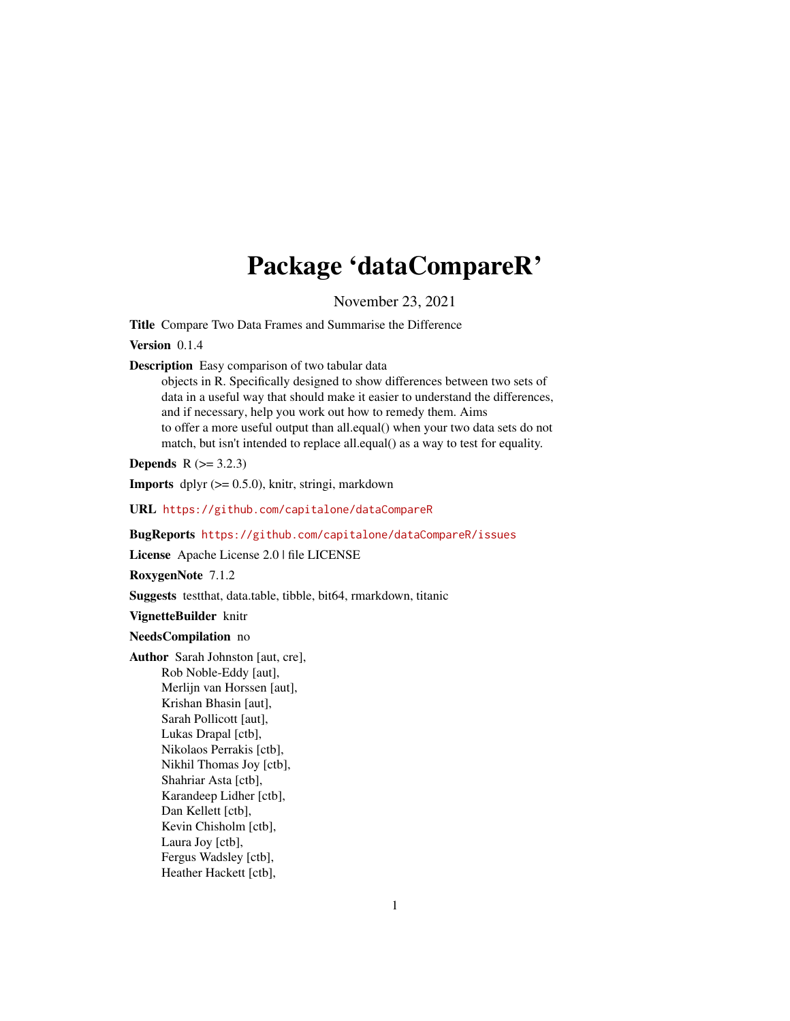# Package 'dataCompareR'

November 23, 2021

<span id="page-0-0"></span>Title Compare Two Data Frames and Summarise the Difference

Version 0.1.4

Description Easy comparison of two tabular data

objects in R. Specifically designed to show differences between two sets of data in a useful way that should make it easier to understand the differences, and if necessary, help you work out how to remedy them. Aims to offer a more useful output than all.equal() when your two data sets do not match, but isn't intended to replace all.equal() as a way to test for equality.

**Depends**  $R (= 3.2.3)$ 

**Imports** dplyr  $(>= 0.5.0)$ , knitr, stringi, markdown

URL <https://github.com/capitalone/dataCompareR>

BugReports <https://github.com/capitalone/dataCompareR/issues>

License Apache License 2.0 | file LICENSE

RoxygenNote 7.1.2

Suggests testthat, data.table, tibble, bit64, rmarkdown, titanic

VignetteBuilder knitr

### NeedsCompilation no

Author Sarah Johnston [aut, cre],

Rob Noble-Eddy [aut], Merlijn van Horssen [aut], Krishan Bhasin [aut], Sarah Pollicott [aut], Lukas Drapal [ctb], Nikolaos Perrakis [ctb], Nikhil Thomas Joy [ctb], Shahriar Asta [ctb], Karandeep Lidher [ctb], Dan Kellett [ctb], Kevin Chisholm [ctb], Laura Joy [ctb], Fergus Wadsley [ctb], Heather Hackett [ctb],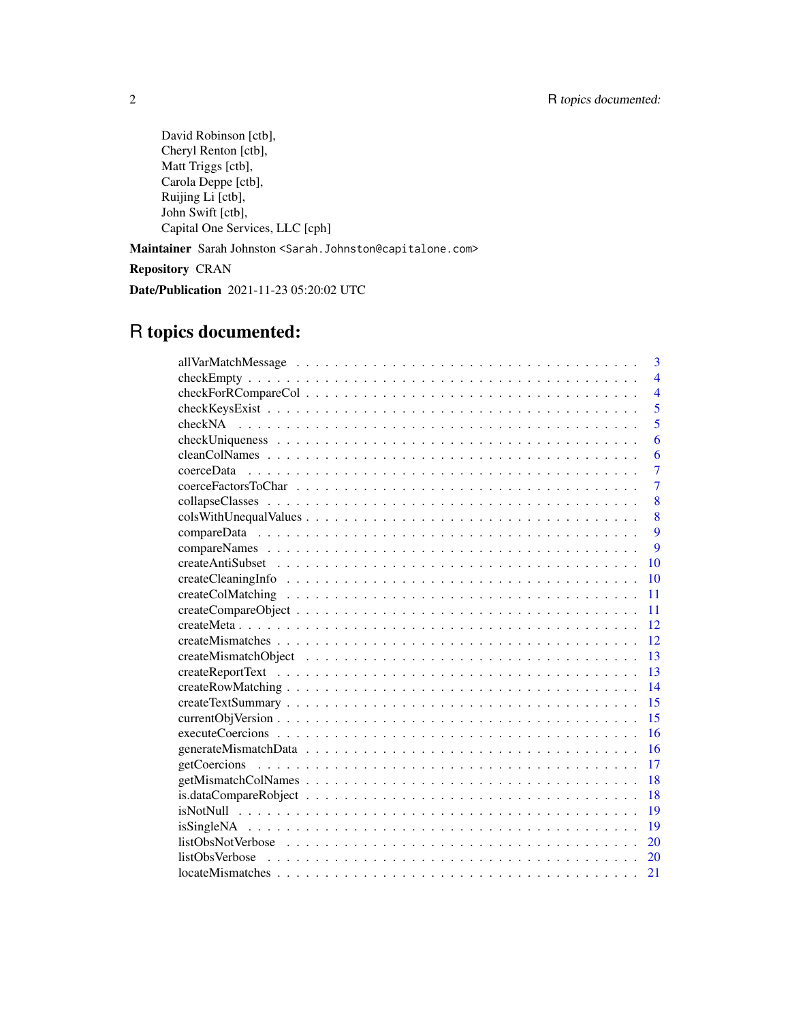David Robinson [ctb], Cheryl Renton [ctb], Matt Triggs [ctb], Carola Deppe [ctb], Ruijing Li [ctb], John Swift [ctb], Capital One Services, LLC [cph]

Maintainer Sarah Johnston <Sarah.Johnston@capitalone.com>

Repository CRAN

Date/Publication 2021-11-23 05:20:02 UTC

## R topics documented:

|                                                                                                      | 3              |
|------------------------------------------------------------------------------------------------------|----------------|
|                                                                                                      | $\overline{4}$ |
|                                                                                                      | $\overline{4}$ |
|                                                                                                      | 5              |
|                                                                                                      | 5              |
|                                                                                                      | 6              |
|                                                                                                      | 6              |
| coerceData                                                                                           | $\overline{7}$ |
|                                                                                                      | $\overline{7}$ |
|                                                                                                      | 8              |
|                                                                                                      | 8              |
|                                                                                                      | $\overline{9}$ |
|                                                                                                      | $\overline{Q}$ |
|                                                                                                      | 10             |
|                                                                                                      | 10             |
|                                                                                                      | 11             |
|                                                                                                      | 11             |
|                                                                                                      | 12             |
|                                                                                                      | 12             |
|                                                                                                      | 13             |
|                                                                                                      | 13             |
|                                                                                                      | 14             |
|                                                                                                      | 15             |
|                                                                                                      | 15             |
|                                                                                                      | 16             |
|                                                                                                      | 16             |
|                                                                                                      | 17             |
|                                                                                                      | 18             |
|                                                                                                      | 18             |
|                                                                                                      | 19             |
|                                                                                                      | 19             |
|                                                                                                      | 20             |
| $listObsVerbose \ldots \ldots \ldots \ldots \ldots \ldots \ldots \ldots \ldots \ldots \ldots \ldots$ | 20             |
|                                                                                                      | 21             |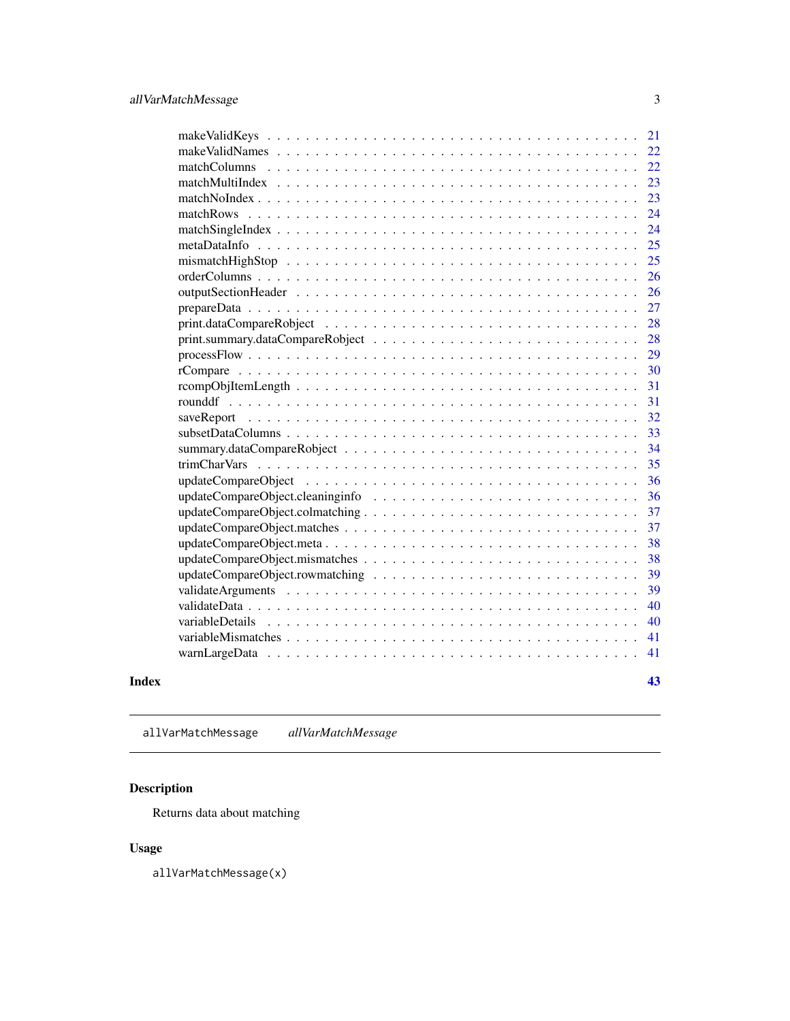<span id="page-2-0"></span>

|       |                                 | 21 |
|-------|---------------------------------|----|
|       |                                 | 22 |
|       | matchColumns                    | 22 |
|       | matchMultiIndex                 | 23 |
|       |                                 | 23 |
|       | matchRows                       | 24 |
|       |                                 | 24 |
|       |                                 | 25 |
|       |                                 | 25 |
|       |                                 | 26 |
|       |                                 | 26 |
|       |                                 | 27 |
|       |                                 | 28 |
|       |                                 | 28 |
|       |                                 | 29 |
|       |                                 | 30 |
|       |                                 | 31 |
|       |                                 | 31 |
|       |                                 | 32 |
|       |                                 | 33 |
|       |                                 | 34 |
|       |                                 | 35 |
|       |                                 | 36 |
|       |                                 | 36 |
|       | updateCompareObject.colmatching | 37 |
|       |                                 | 37 |
|       |                                 | 38 |
|       |                                 | 38 |
|       |                                 | 39 |
|       |                                 | 39 |
|       |                                 | 40 |
|       | variableDetails                 | 40 |
|       |                                 | 41 |
|       |                                 | 41 |
| Index |                                 | 43 |

allVarMatchMessage *allVarMatchMessage*

### Description

Returns data about matching

### Usage

allVarMatchMessage(x)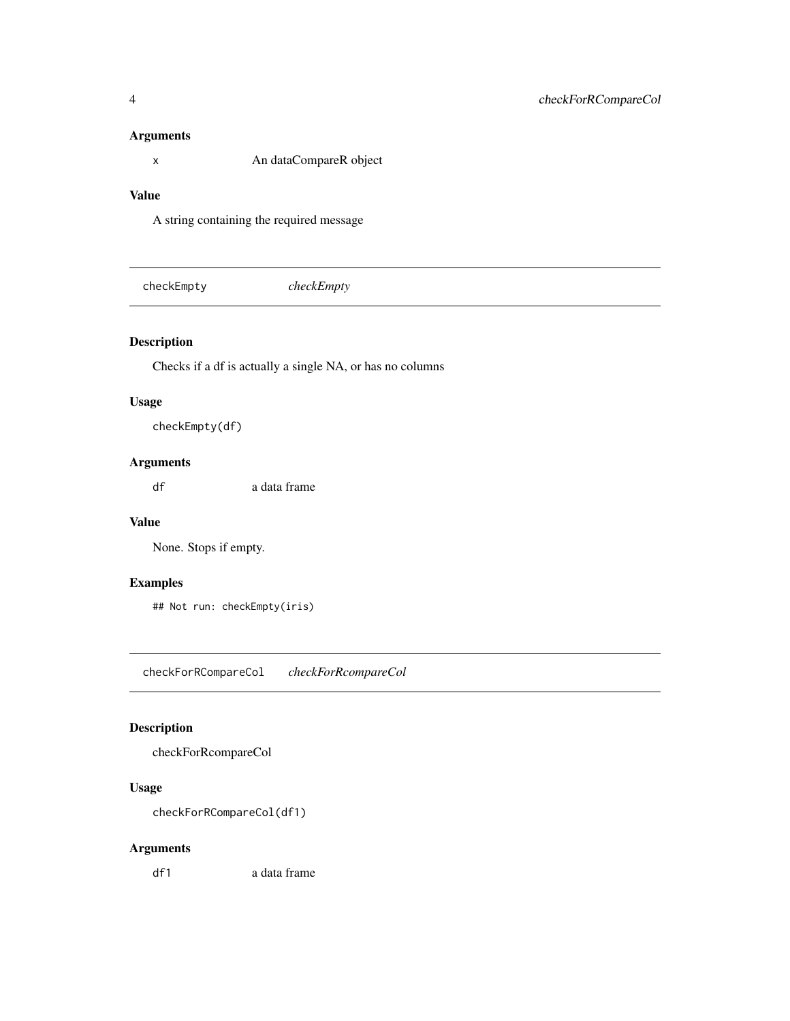#### <span id="page-3-0"></span>Arguments

x An dataCompareR object

### Value

A string containing the required message

checkEmpty *checkEmpty*

### Description

Checks if a df is actually a single NA, or has no columns

#### Usage

checkEmpty(df)

### Arguments

df a data frame

#### Value

None. Stops if empty.

### Examples

## Not run: checkEmpty(iris)

checkForRCompareCol *checkForRcompareCol*

### Description

checkForRcompareCol

### Usage

checkForRCompareCol(df1)

### Arguments

df1 a data frame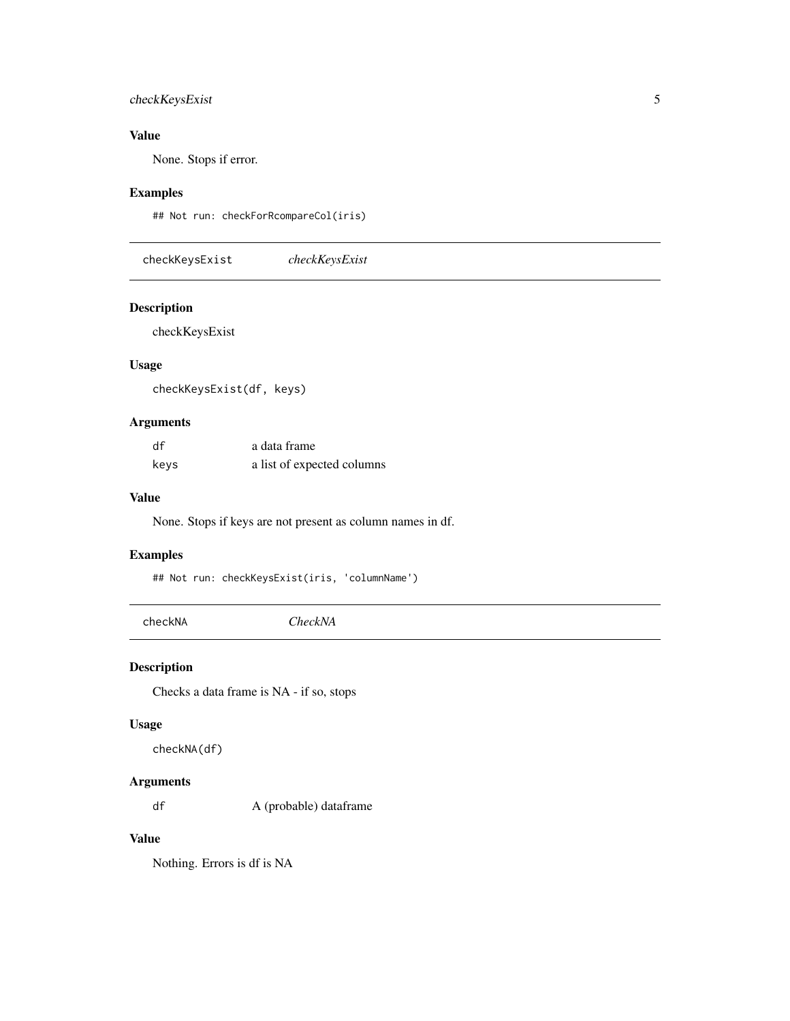### <span id="page-4-0"></span>checkKeysExist 5

### Value

None. Stops if error.

### Examples

## Not run: checkForRcompareCol(iris)

checkKeysExist *checkKeysExist*

### Description

checkKeysExist

### Usage

checkKeysExist(df, keys)

### Arguments

| df   | a data frame               |
|------|----------------------------|
| keys | a list of expected columns |

#### Value

None. Stops if keys are not present as column names in df.

#### Examples

## Not run: checkKeysExist(iris, 'columnName')

checkNA *CheckNA*

### Description

Checks a data frame is NA - if so, stops

#### Usage

checkNA(df)

#### Arguments

df A (probable) dataframe

### Value

Nothing. Errors is df is NA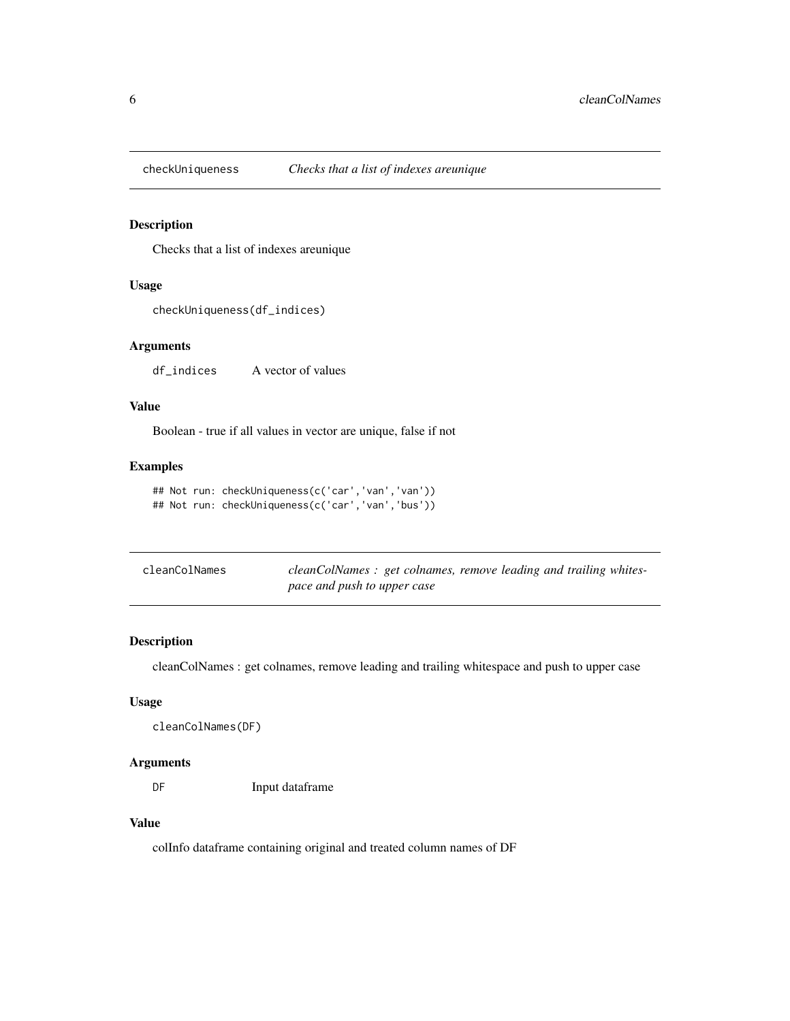<span id="page-5-0"></span>

Checks that a list of indexes areunique

#### Usage

```
checkUniqueness(df_indices)
```
#### Arguments

df\_indices A vector of values

### Value

Boolean - true if all values in vector are unique, false if not

### Examples

```
## Not run: checkUniqueness(c('car','van','van'))
## Not run: checkUniqueness(c('car','van','bus'))
```

| cleanColNames | cleanColNames: get colnames, remove leading and trailing whites- |
|---------------|------------------------------------------------------------------|
|               | pace and push to upper case                                      |

#### Description

cleanColNames : get colnames, remove leading and trailing whitespace and push to upper case

#### Usage

```
cleanColNames(DF)
```
#### Arguments

DF Input dataframe

#### Value

colInfo dataframe containing original and treated column names of DF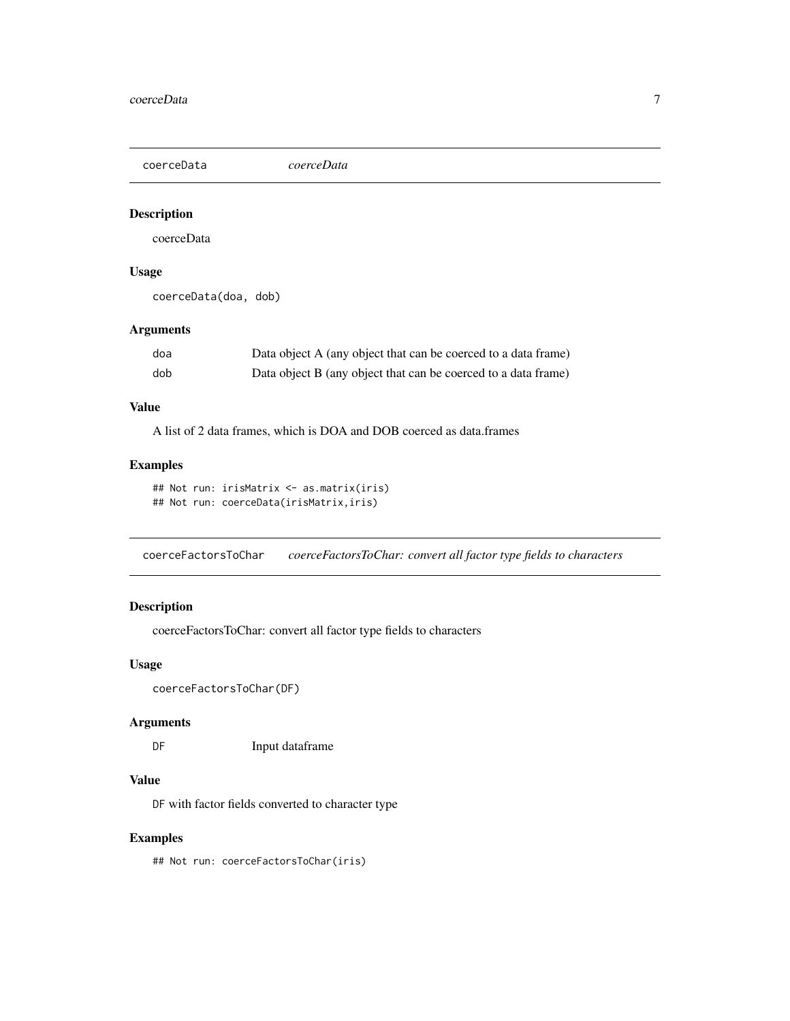<span id="page-6-0"></span>coerceData *coerceData*

#### Description

coerceData

#### Usage

coerceData(doa, dob)

### Arguments

| doa | Data object A (any object that can be coerced to a data frame) |
|-----|----------------------------------------------------------------|
| dob | Data object B (any object that can be coerced to a data frame) |

### Value

A list of 2 data frames, which is DOA and DOB coerced as data.frames

### Examples

```
## Not run: irisMatrix <- as.matrix(iris)
## Not run: coerceData(irisMatrix,iris)
```
coerceFactorsToChar *coerceFactorsToChar: convert all factor type fields to characters*

### Description

coerceFactorsToChar: convert all factor type fields to characters

#### Usage

```
coerceFactorsToChar(DF)
```
### Arguments

DF Input dataframe

#### Value

DF with factor fields converted to character type

### Examples

## Not run: coerceFactorsToChar(iris)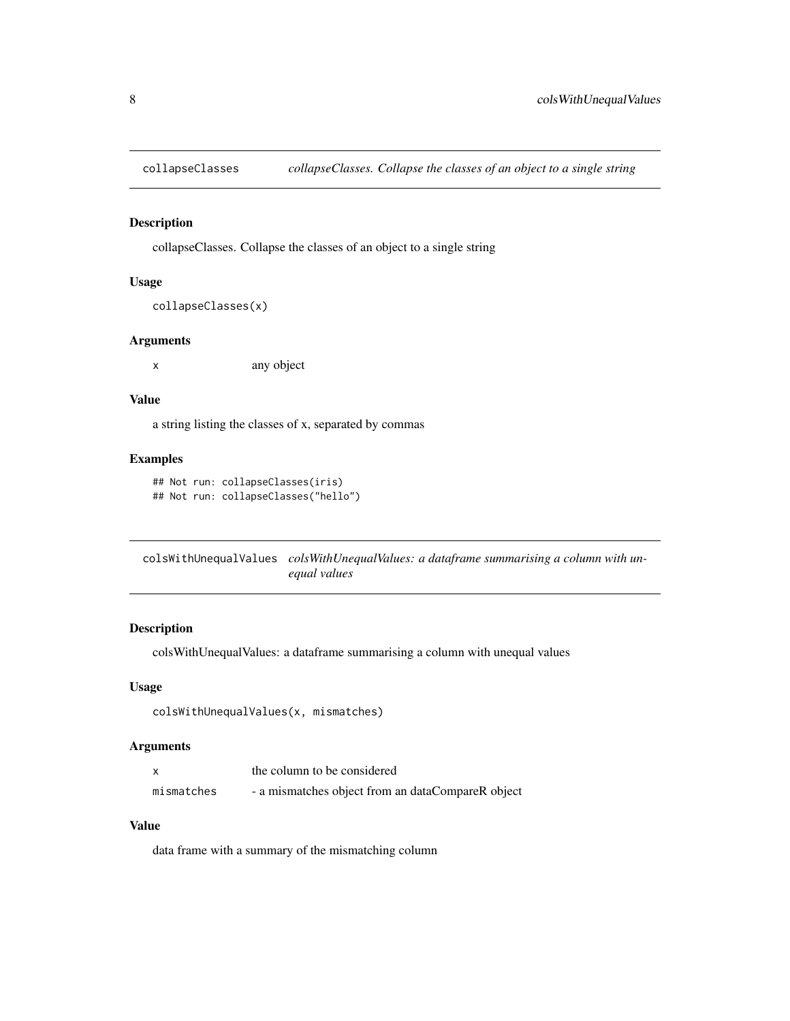<span id="page-7-0"></span>

collapseClasses. Collapse the classes of an object to a single string

#### Usage

```
collapseClasses(x)
```
#### Arguments

x any object

#### Value

a string listing the classes of x, separated by commas

#### Examples

```
## Not run: collapseClasses(iris)
## Not run: collapseClasses("hello")
```
colsWithUnequalValues *colsWithUnequalValues: a dataframe summarising a column with unequal values*

### Description

colsWithUnequalValues: a dataframe summarising a column with unequal values

### Usage

```
colsWithUnequalValues(x, mismatches)
```
#### Arguments

|            | the column to be considered                       |
|------------|---------------------------------------------------|
| mismatches | - a mismatches object from an dataCompareR object |

#### Value

data frame with a summary of the mismatching column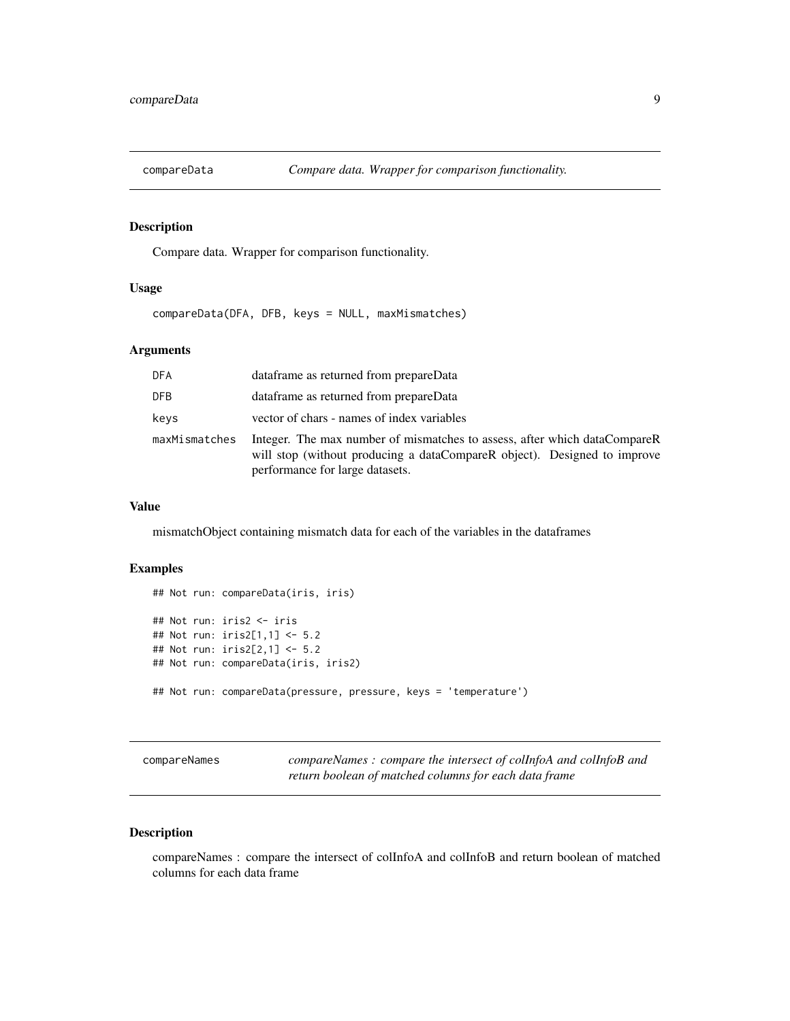<span id="page-8-0"></span>

Compare data. Wrapper for comparison functionality.

#### Usage

compareData(DFA, DFB, keys = NULL, maxMismatches)

### Arguments

| <b>DFA</b>    | dataframe as returned from prepareData                                                                                                                                                   |
|---------------|------------------------------------------------------------------------------------------------------------------------------------------------------------------------------------------|
| DFB.          | dataframe as returned from prepareData                                                                                                                                                   |
| keys          | vector of chars - names of index variables                                                                                                                                               |
| maxMismatches | Integer. The max number of mismatches to assess, after which dataCompareR<br>will stop (without producing a dataCompareR object). Designed to improve<br>performance for large datasets. |

#### Value

mismatchObject containing mismatch data for each of the variables in the dataframes

#### Examples

```
## Not run: compareData(iris, iris)
## Not run: iris2 <- iris
## Not run: iris2[1,1] <- 5.2
## Not run: iris2[2,1] <- 5.2
## Not run: compareData(iris, iris2)
## Not run: compareData(pressure, pressure, keys = 'temperature')
```
compareNames *compareNames : compare the intersect of colInfoA and colInfoB and return boolean of matched columns for each data frame*

### Description

compareNames : compare the intersect of colInfoA and colInfoB and return boolean of matched columns for each data frame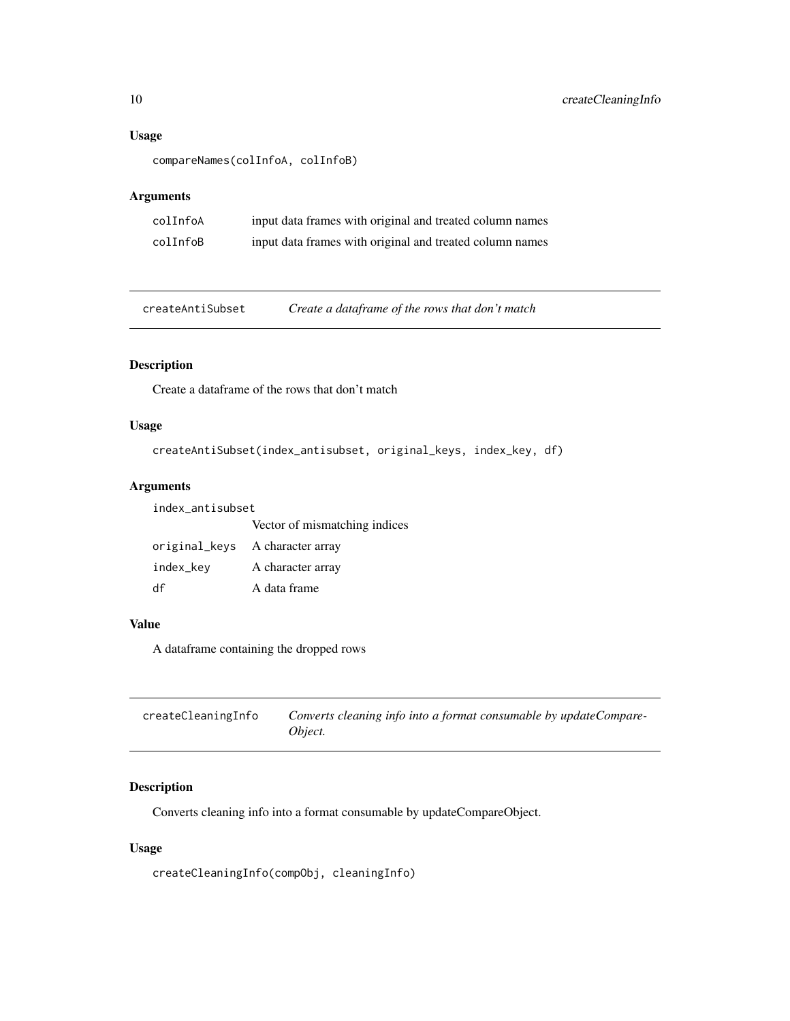### <span id="page-9-0"></span>Usage

```
compareNames(colInfoA, colInfoB)
```
### Arguments

| colInfoA | input data frames with original and treated column names |
|----------|----------------------------------------------------------|
| colInfoB | input data frames with original and treated column names |

createAntiSubset *Create a dataframe of the rows that don't match*

### Description

Create a dataframe of the rows that don't match

### Usage

```
createAntiSubset(index_antisubset, original_keys, index_key, df)
```
### Arguments

| index antisubset |                                 |  |
|------------------|---------------------------------|--|
|                  | Vector of mismatching indices   |  |
|                  | original_keys A character array |  |
| index_kev        | A character array               |  |
| df               | A data frame                    |  |

### Value

A dataframe containing the dropped rows

| createCleaningInfo | Converts cleaning info into a format consumable by updateCompare- |
|--------------------|-------------------------------------------------------------------|
|                    | Object.                                                           |

### Description

Converts cleaning info into a format consumable by updateCompareObject.

### Usage

createCleaningInfo(compObj, cleaningInfo)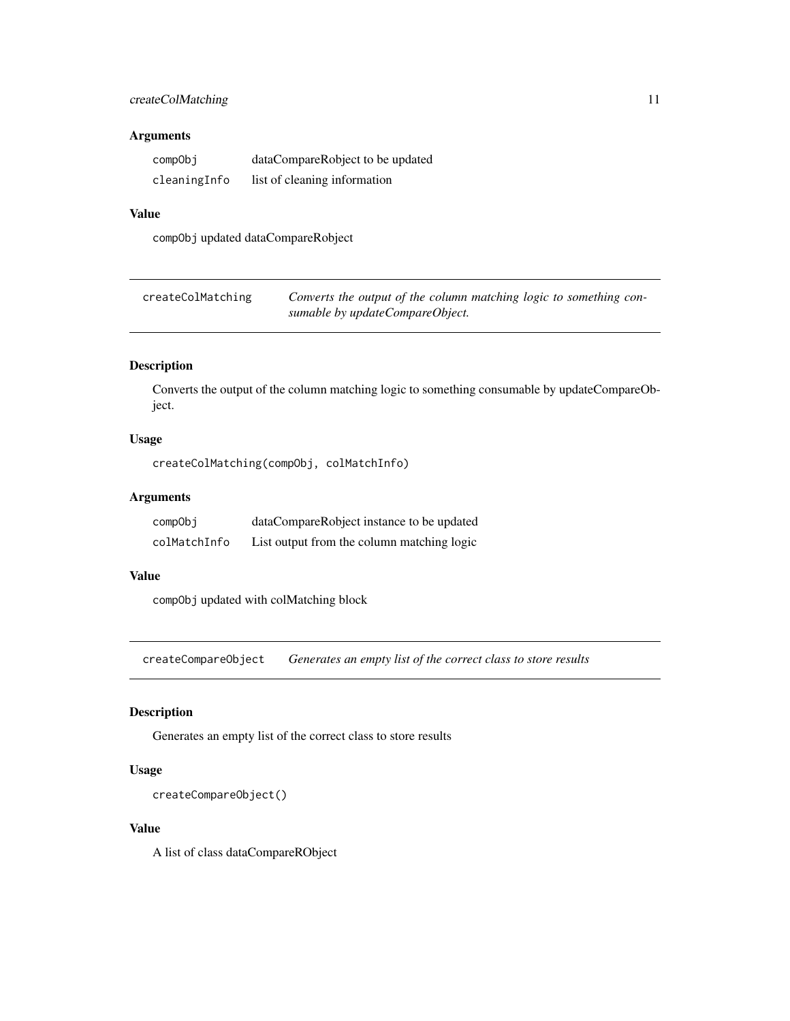### <span id="page-10-0"></span>createColMatching 11

#### Arguments

| compObj      | dataCompareRobject to be updated |
|--------------|----------------------------------|
| cleaningInfo | list of cleaning information     |

### Value

compObj updated dataCompareRobject

| createColMatching | Converts the output of the column matching logic to something con- |
|-------------------|--------------------------------------------------------------------|
|                   | sumable by updateCompareObject.                                    |

### Description

Converts the output of the column matching logic to something consumable by updateCompareObject.

### Usage

```
createColMatching(compObj, colMatchInfo)
```
### Arguments

| compObj      | dataCompareRobject instance to be updated  |
|--------------|--------------------------------------------|
| colMatchInfo | List output from the column matching logic |

#### Value

compObj updated with colMatching block

createCompareObject *Generates an empty list of the correct class to store results*

### Description

Generates an empty list of the correct class to store results

### Usage

```
createCompareObject()
```
### Value

A list of class dataCompareRObject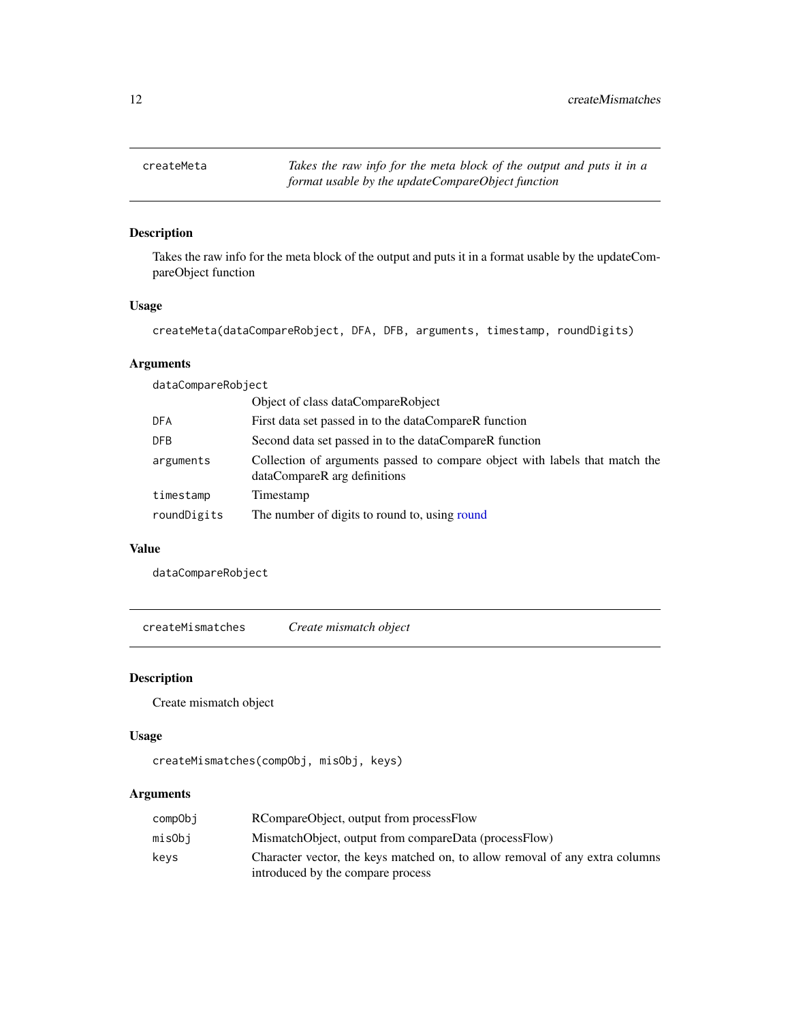<span id="page-11-0"></span>createMeta *Takes the raw info for the meta block of the output and puts it in a format usable by the updateCompareObject function*

### Description

Takes the raw info for the meta block of the output and puts it in a format usable by the updateCompareObject function

#### Usage

```
createMeta(dataCompareRobject, DFA, DFB, arguments, timestamp, roundDigits)
```
### Arguments

dataCompareRobject

|             | Object of class dataCompareRobject                                                                          |
|-------------|-------------------------------------------------------------------------------------------------------------|
| DFA         | First data set passed in to the dataCompareR function                                                       |
| DFB         | Second data set passed in to the dataCompareR function                                                      |
| arguments   | Collection of arguments passed to compare object with labels that match the<br>dataCompareR arg definitions |
| timestamp   | Timestamp                                                                                                   |
| roundDigits | The number of digits to round to, using round                                                               |
|             |                                                                                                             |

#### Value

dataCompareRobject

createMismatches *Create mismatch object*

### Description

Create mismatch object

### Usage

```
createMismatches(compObj, misObj, keys)
```
### Arguments

| compObi | RCompareObject, output from processFlow                                      |
|---------|------------------------------------------------------------------------------|
| misObi  | MismatchObject, output from compareData (processFlow)                        |
| kevs    | Character vector, the keys matched on, to allow removal of any extra columns |
|         | introduced by the compare process                                            |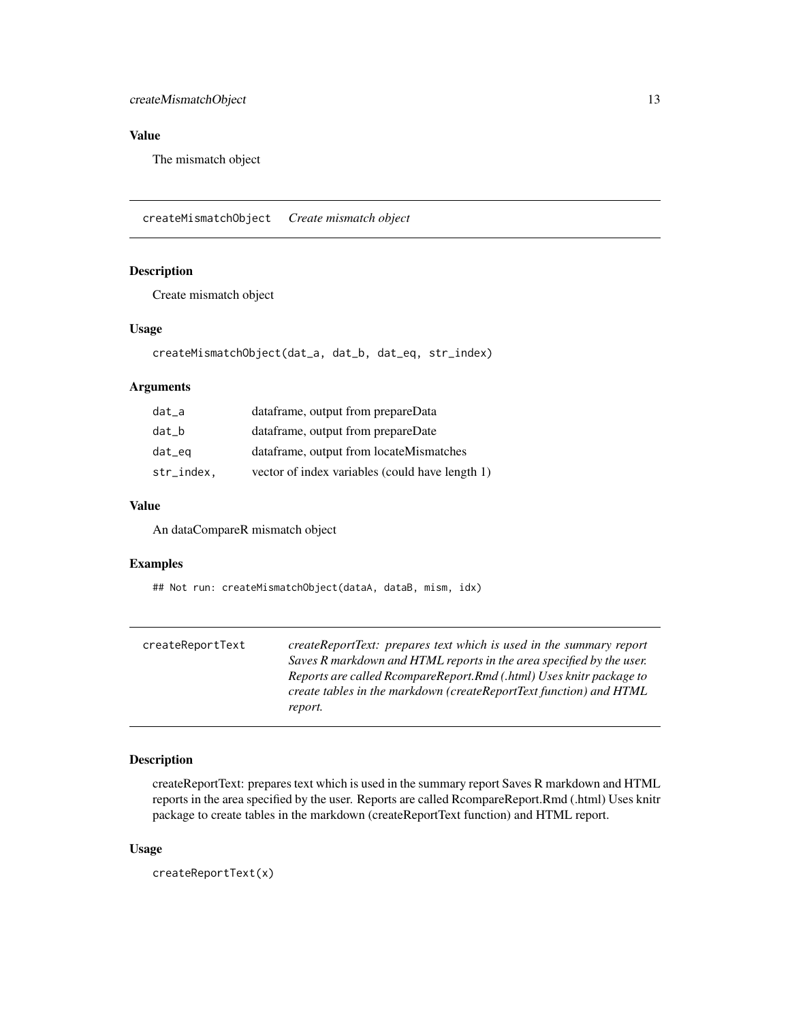### <span id="page-12-0"></span>createMismatchObject 13

### Value

The mismatch object

createMismatchObject *Create mismatch object*

### Description

Create mismatch object

#### Usage

```
createMismatchObject(dat_a, dat_b, dat_eq, str_index)
```
#### Arguments

| dat_a      | dataframe, output from prepareData              |
|------------|-------------------------------------------------|
| dat b      | dataframe, output from prepareDate              |
| dat_eq     | dataframe, output from locateMismatches         |
| str_index. | vector of index variables (could have length 1) |

#### Value

An dataCompareR mismatch object

#### Examples

## Not run: createMismatchObject(dataA, dataB, mism, idx)

| createReportText | createReportText: prepares text which is used in the summary report  |
|------------------|----------------------------------------------------------------------|
|                  | Saves R markdown and HTML reports in the area specified by the user. |
|                  | Reports are called RcompareReport.Rmd (.html) Uses knitr package to  |
|                  | create tables in the markdown (createReportText function) and HTML   |
|                  | report.                                                              |

#### Description

createReportText: prepares text which is used in the summary report Saves R markdown and HTML reports in the area specified by the user. Reports are called RcompareReport.Rmd (.html) Uses knitr package to create tables in the markdown (createReportText function) and HTML report.

#### Usage

createReportText(x)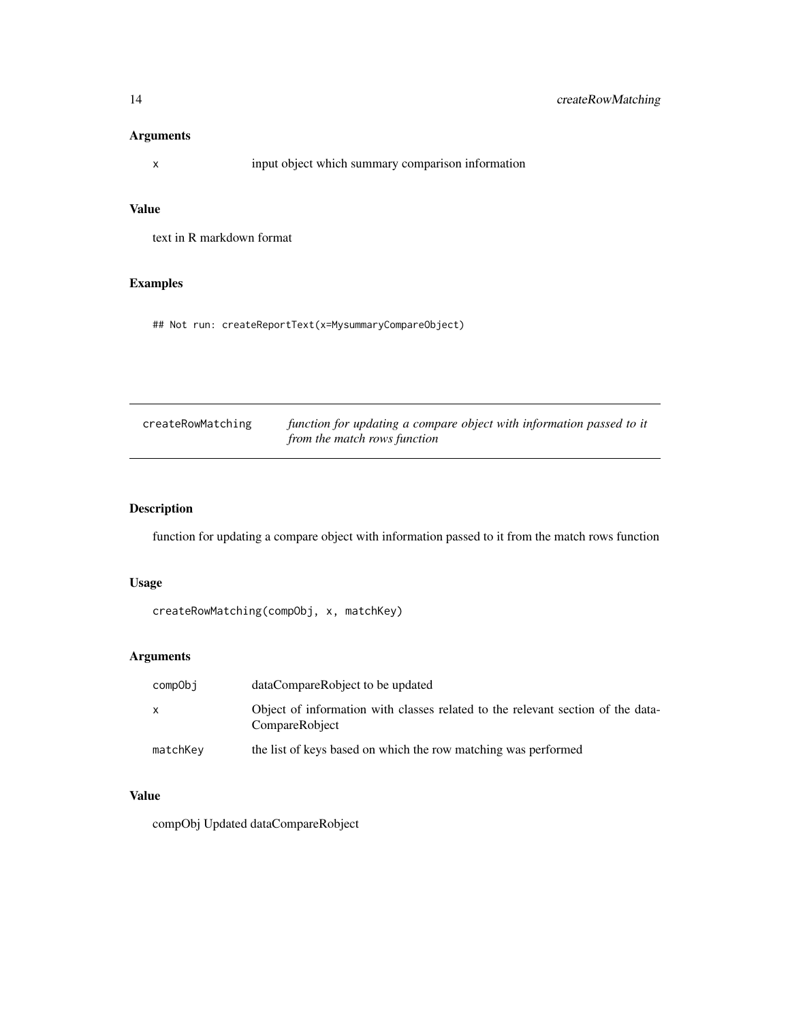### <span id="page-13-0"></span>Arguments

x input object which summary comparison information

### Value

text in R markdown format

### Examples

## Not run: createReportText(x=MysummaryCompareObject)

| createRowMatching | function for updating a compare object with information passed to it |
|-------------------|----------------------------------------------------------------------|
|                   | from the match rows function                                         |

### Description

function for updating a compare object with information passed to it from the match rows function

### Usage

```
createRowMatching(compObj, x, matchKey)
```
### Arguments

| compObi      | dataCompareRobject to be updated                                                                  |
|--------------|---------------------------------------------------------------------------------------------------|
| $\mathsf{x}$ | Object of information with classes related to the relevant section of the data-<br>CompareRobject |
| matchKey     | the list of keys based on which the row matching was performed                                    |

### Value

compObj Updated dataCompareRobject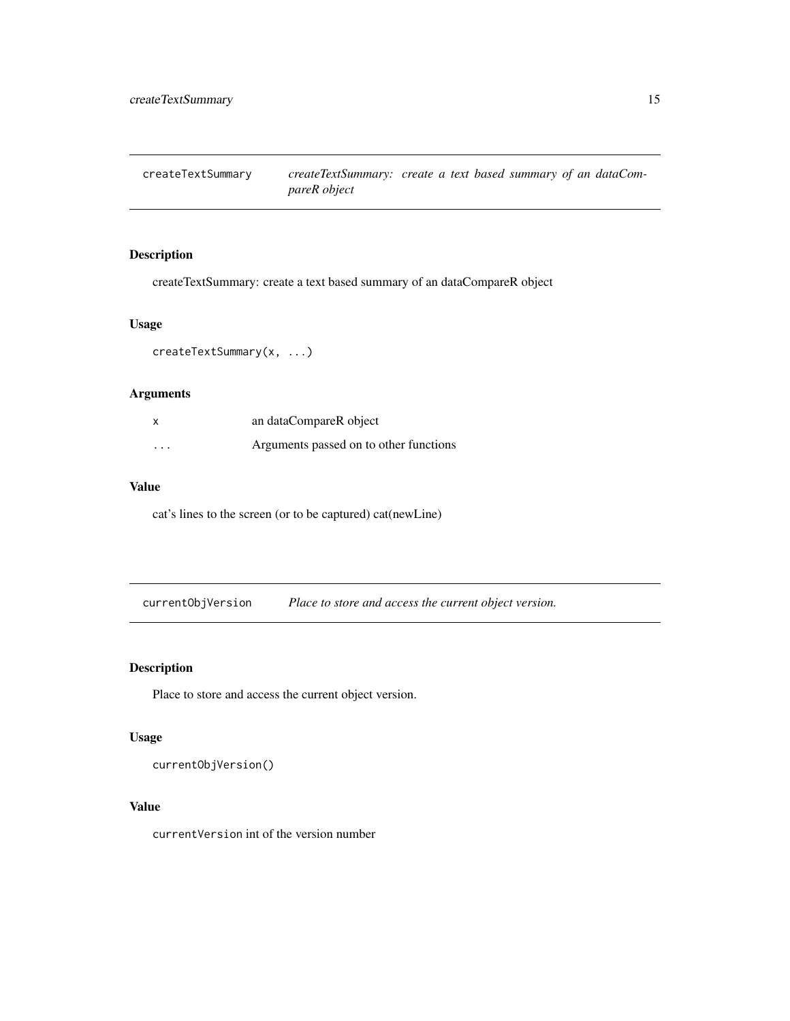<span id="page-14-1"></span><span id="page-14-0"></span>createTextSummary *createTextSummary: create a text based summary of an dataCompareR object*

### Description

createTextSummary: create a text based summary of an dataCompareR object

### Usage

createTextSummary(x, ...)

### Arguments

|          | an dataCompareR object                 |
|----------|----------------------------------------|
| $\cdots$ | Arguments passed on to other functions |

#### Value

cat's lines to the screen (or to be captured) cat(newLine)

currentObjVersion *Place to store and access the current object version.*

### Description

Place to store and access the current object version.

### Usage

currentObjVersion()

#### Value

currentVersion int of the version number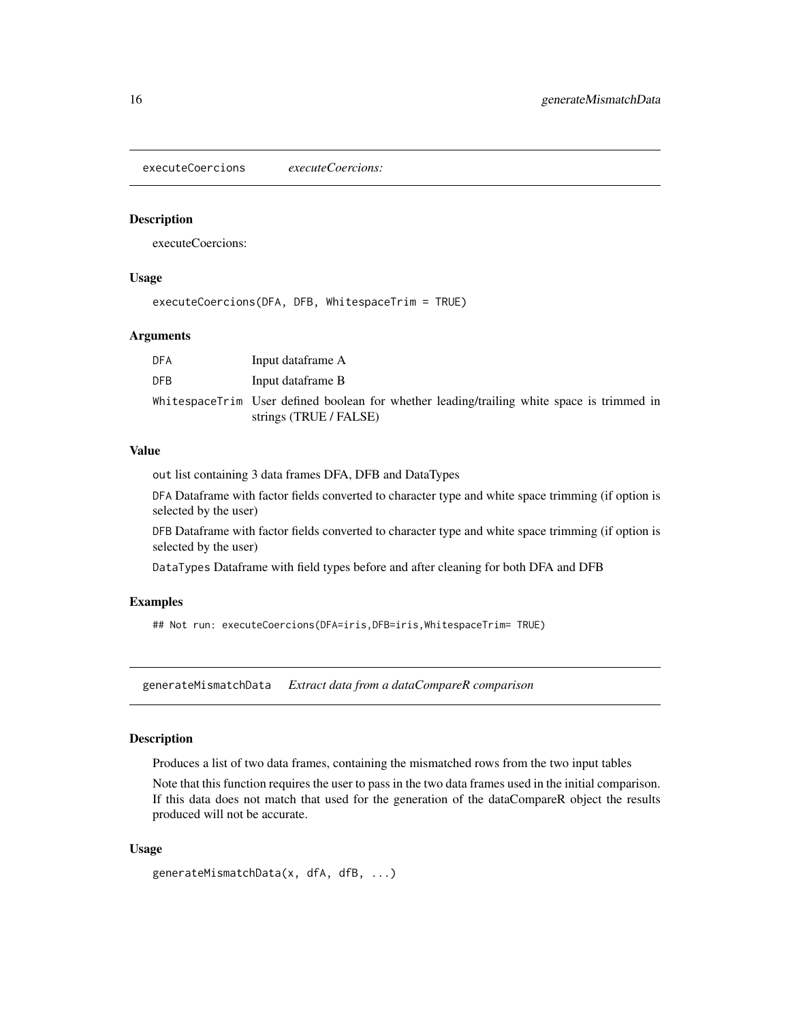<span id="page-15-0"></span>executeCoercions *executeCoercions:*

### Description

executeCoercions:

### Usage

executeCoercions(DFA, DFB, WhitespaceTrim = TRUE)

#### Arguments

| <b>DFA</b> | Input dataframe A                                                                                                    |
|------------|----------------------------------------------------------------------------------------------------------------------|
| <b>DFB</b> | Input dataframe B                                                                                                    |
|            | WhitespaceTrim User defined boolean for whether leading/trailing white space is trimmed in<br>strings (TRUE / FALSE) |

#### Value

out list containing 3 data frames DFA, DFB and DataTypes

DFA Dataframe with factor fields converted to character type and white space trimming (if option is selected by the user)

DFB Dataframe with factor fields converted to character type and white space trimming (if option is selected by the user)

DataTypes Dataframe with field types before and after cleaning for both DFA and DFB

#### Examples

## Not run: executeCoercions(DFA=iris,DFB=iris,WhitespaceTrim= TRUE)

<span id="page-15-1"></span>generateMismatchData *Extract data from a dataCompareR comparison*

#### Description

Produces a list of two data frames, containing the mismatched rows from the two input tables

Note that this function requires the user to pass in the two data frames used in the initial comparison. If this data does not match that used for the generation of the dataCompareR object the results produced will not be accurate.

#### Usage

```
generateMismatchData(x, dfA, dfB, ...)
```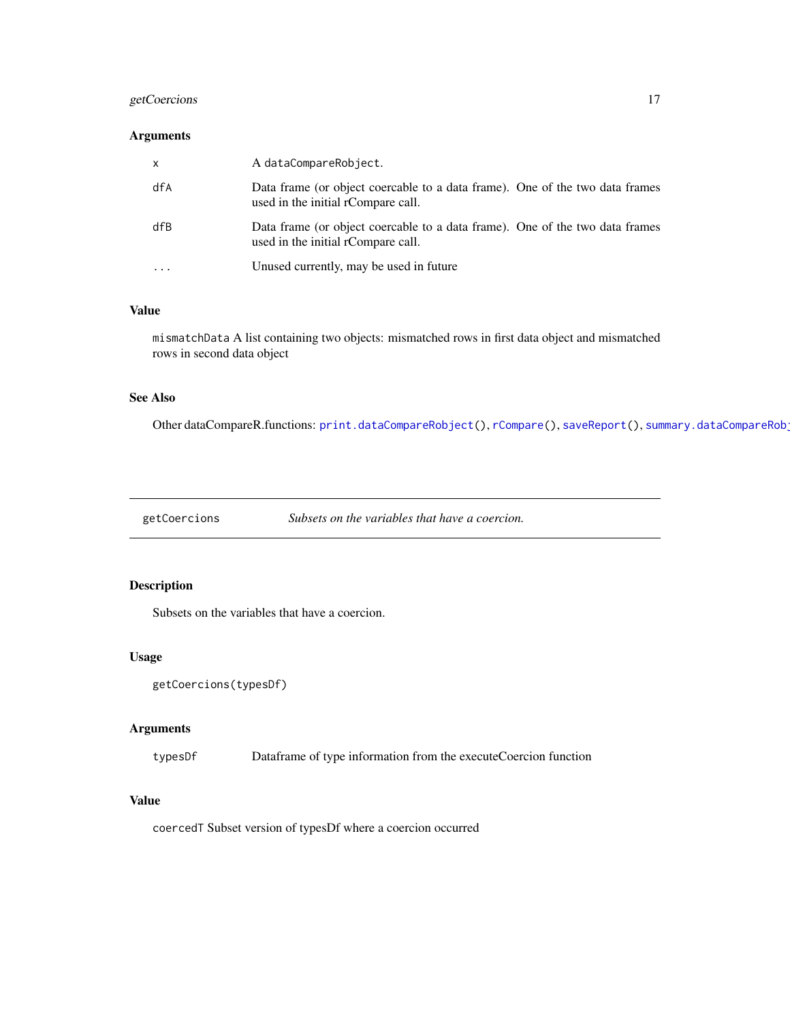### <span id="page-16-0"></span>getCoercions 17

#### Arguments

| $\mathsf{x}$      | A dataCompareRobject.                                                                                              |
|-------------------|--------------------------------------------------------------------------------------------------------------------|
| dfA               | Data frame (or object coercable to a data frame). One of the two data frames<br>used in the initial rCompare call. |
| dfB               | Data frame (or object coercable to a data frame). One of the two data frames<br>used in the initial rCompare call. |
| $\cdot\cdot\cdot$ | Unused currently, may be used in future                                                                            |

### Value

mismatchData A list containing two objects: mismatched rows in first data object and mismatched rows in second data object

### See Also

Other dataCompareR.functions: [print.dataCompareRobject\(](#page-27-1)), [rCompare\(](#page-29-1)), [saveReport\(](#page-31-1)), summary.dataCompareRob

getCoercions *Subsets on the variables that have a coercion.*

### Description

Subsets on the variables that have a coercion.

#### Usage

```
getCoercions(typesDf)
```
#### Arguments

typesDf Dataframe of type information from the executeCoercion function

### Value

coercedT Subset version of typesDf where a coercion occurred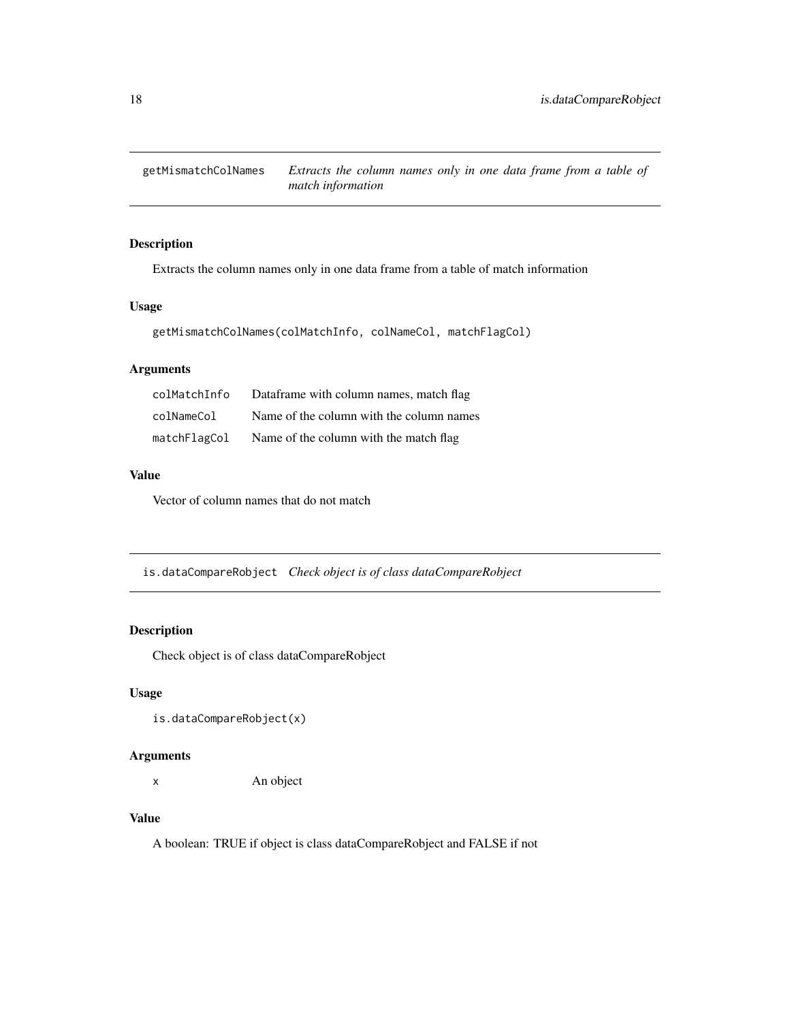<span id="page-17-0"></span>

Extracts the column names only in one data frame from a table of match information

### Usage

```
getMismatchColNames(colMatchInfo, colNameCol, matchFlagCol)
```
### Arguments

| colMatchInfo | Dataframe with column names, match flag  |
|--------------|------------------------------------------|
| colNameCol   | Name of the column with the column names |
| matchFlagCol | Name of the column with the match flag   |

### Value

Vector of column names that do not match

is.dataCompareRobject *Check object is of class dataCompareRobject*

### Description

Check object is of class dataCompareRobject

### Usage

is.dataCompareRobject(x)

#### Arguments

x An object

### Value

A boolean: TRUE if object is class dataCompareRobject and FALSE if not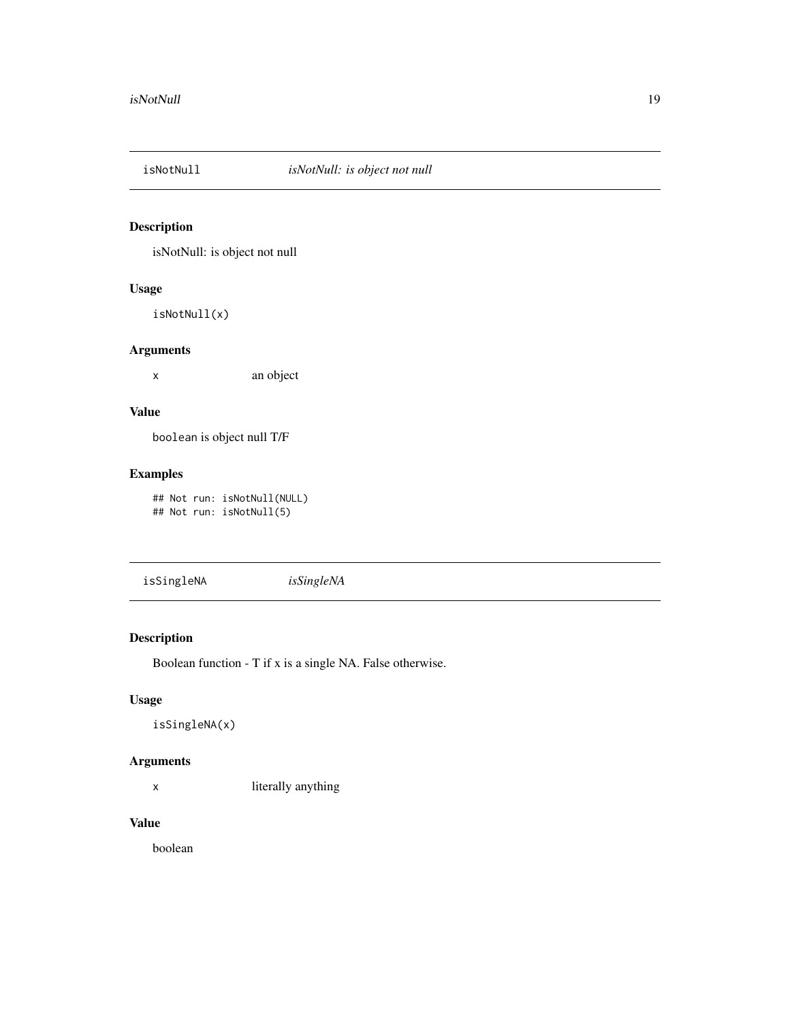<span id="page-18-0"></span>

isNotNull: is object not null

#### Usage

isNotNull(x)

### Arguments

x an object

### Value

boolean is object null T/F

### Examples

## Not run: isNotNull(NULL) ## Not run: isNotNull(5)

isSingleNA *isSingleNA*

### Description

Boolean function - T if x is a single NA. False otherwise.

### Usage

isSingleNA(x)

#### Arguments

x literally anything

### Value

boolean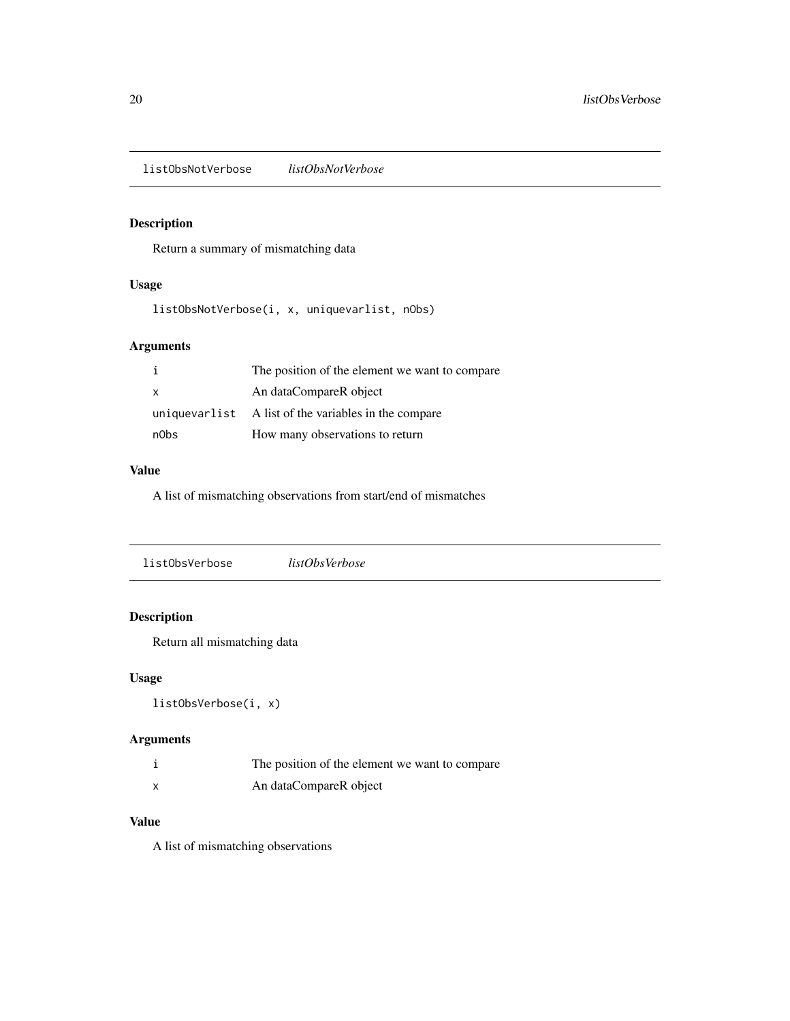<span id="page-19-0"></span>listObsNotVerbose *listObsNotVerbose*

### Description

Return a summary of mismatching data

### Usage

listObsNotVerbose(i, x, uniquevarlist, nObs)

### Arguments

|              | The position of the element we want to compare       |
|--------------|------------------------------------------------------|
| $\mathsf{x}$ | An dataCompareR object                               |
|              | uniquevarlist A list of the variables in the compare |
| n0bs         | How many observations to return                      |

### Value

A list of mismatching observations from start/end of mismatches

| listObsVerbose | listObsVerbose |  |
|----------------|----------------|--|
|                |                |  |

### Description

Return all mismatching data

### Usage

listObsVerbose(i, x)

### Arguments

| The position of the element we want to compare |
|------------------------------------------------|
| An dataCompareR object                         |

### Value

A list of mismatching observations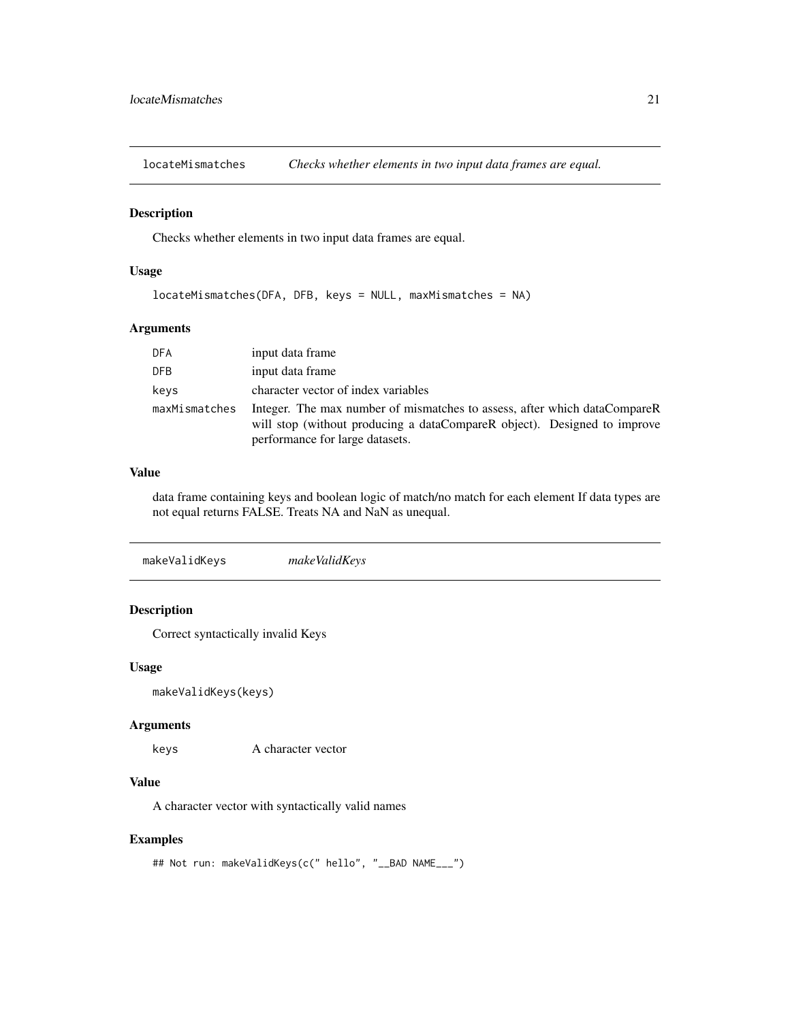<span id="page-20-0"></span>locateMismatches *Checks whether elements in two input data frames are equal.*

#### Description

Checks whether elements in two input data frames are equal.

#### Usage

```
locateMismatches(DFA, DFB, keys = NULL, maxMismatches = NA)
```
#### Arguments

| <b>DFA</b>    | input data frame                                                                                                                                                                         |
|---------------|------------------------------------------------------------------------------------------------------------------------------------------------------------------------------------------|
| <b>DFB</b>    | input data frame                                                                                                                                                                         |
| keys          | character vector of index variables                                                                                                                                                      |
| maxMismatches | Integer. The max number of mismatches to assess, after which dataCompareR<br>will stop (without producing a dataCompareR object). Designed to improve<br>performance for large datasets. |

### Value

data frame containing keys and boolean logic of match/no match for each element If data types are not equal returns FALSE. Treats NA and NaN as unequal.

|--|

### Description

Correct syntactically invalid Keys

#### Usage

```
makeValidKeys(keys)
```
#### Arguments

keys A character vector

#### Value

A character vector with syntactically valid names

#### Examples

```
## Not run: makeValidKeys(c(" hello", "__BAD NAME___")
```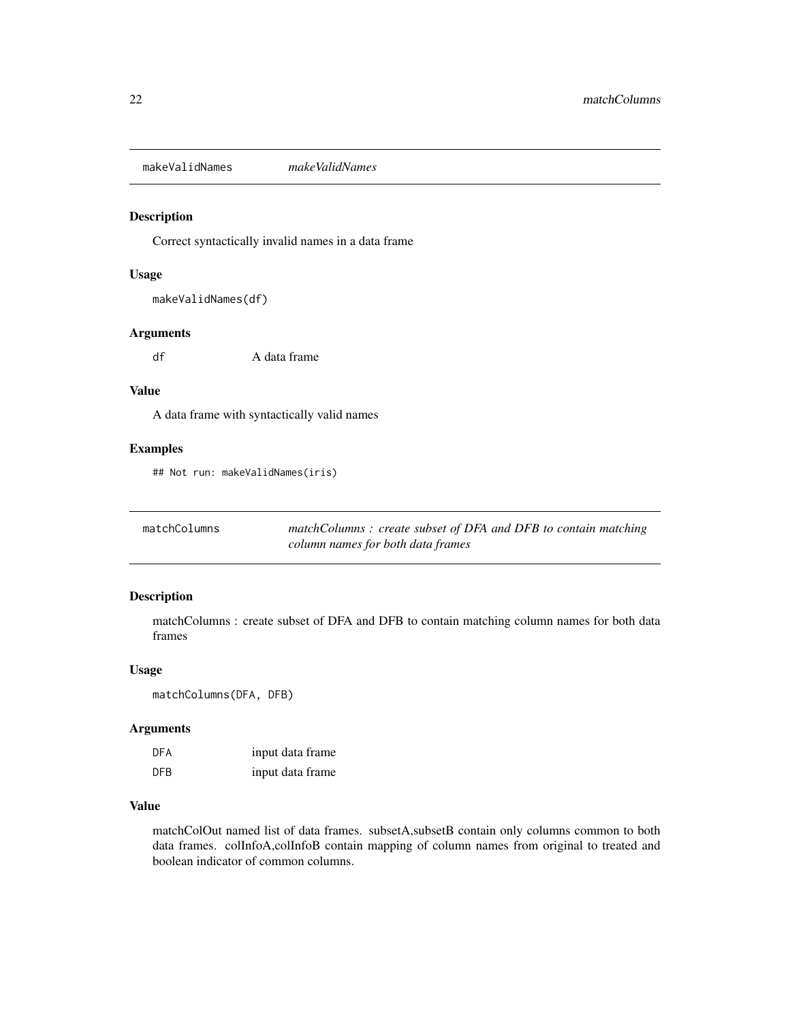<span id="page-21-0"></span>makeValidNames *makeValidNames*

#### Description

Correct syntactically invalid names in a data frame

#### Usage

makeValidNames(df)

### Arguments

df A data frame

### Value

A data frame with syntactically valid names

#### Examples

## Not run: makeValidNames(iris)

| matchColumns | matchColumns: create subset of DFA and DFB to contain matching |
|--------------|----------------------------------------------------------------|
|              | column names for both data frames                              |

### Description

matchColumns : create subset of DFA and DFB to contain matching column names for both data frames

#### Usage

matchColumns(DFA, DFB)

### Arguments

| DFA | input data frame |
|-----|------------------|
| DFB | input data frame |

#### Value

matchColOut named list of data frames. subsetA,subsetB contain only columns common to both data frames. colInfoA,colInfoB contain mapping of column names from original to treated and boolean indicator of common columns.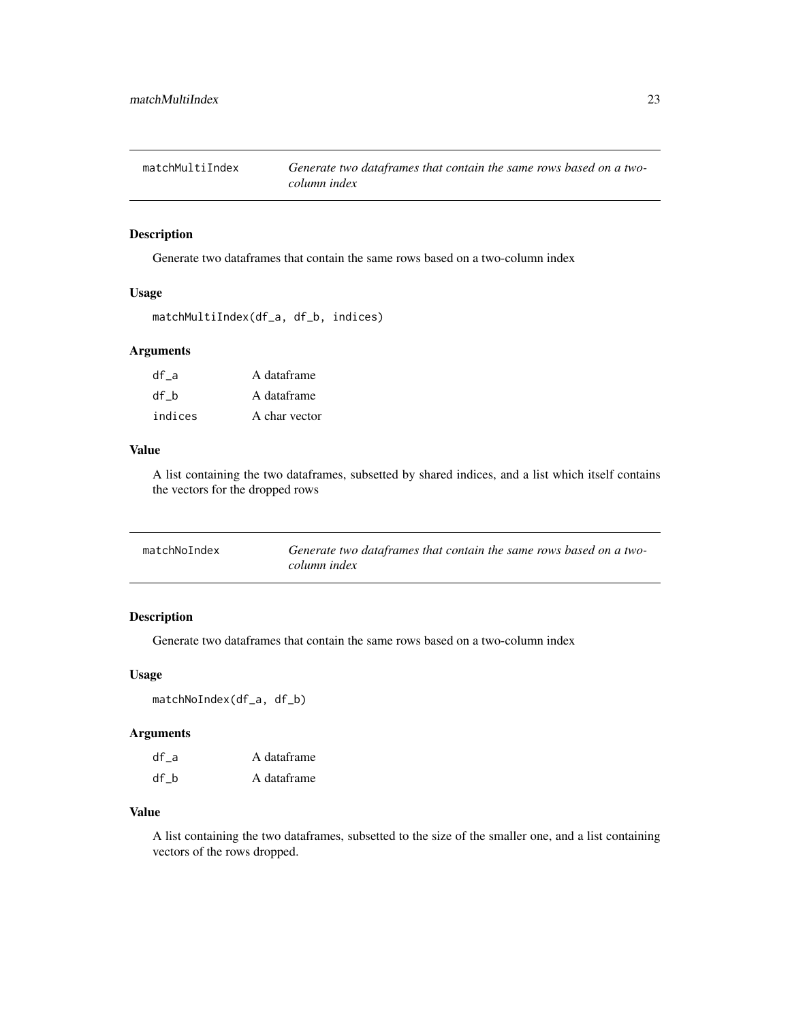<span id="page-22-0"></span>

Generate two dataframes that contain the same rows based on a two-column index

#### Usage

```
matchMultiIndex(df_a, df_b, indices)
```
### Arguments

| df a    | A dataframe   |
|---------|---------------|
| df b    | A dataframe   |
| indices | A char vector |

#### Value

A list containing the two dataframes, subsetted by shared indices, and a list which itself contains the vectors for the dropped rows

| matchNoIndex | Generate two dataframes that contain the same rows based on a two- |
|--------------|--------------------------------------------------------------------|
|              | column index                                                       |

### Description

Generate two dataframes that contain the same rows based on a two-column index

#### Usage

matchNoIndex(df\_a, df\_b)

#### Arguments

| df a | A dataframe |
|------|-------------|
| df b | A dataframe |

#### Value

A list containing the two dataframes, subsetted to the size of the smaller one, and a list containing vectors of the rows dropped.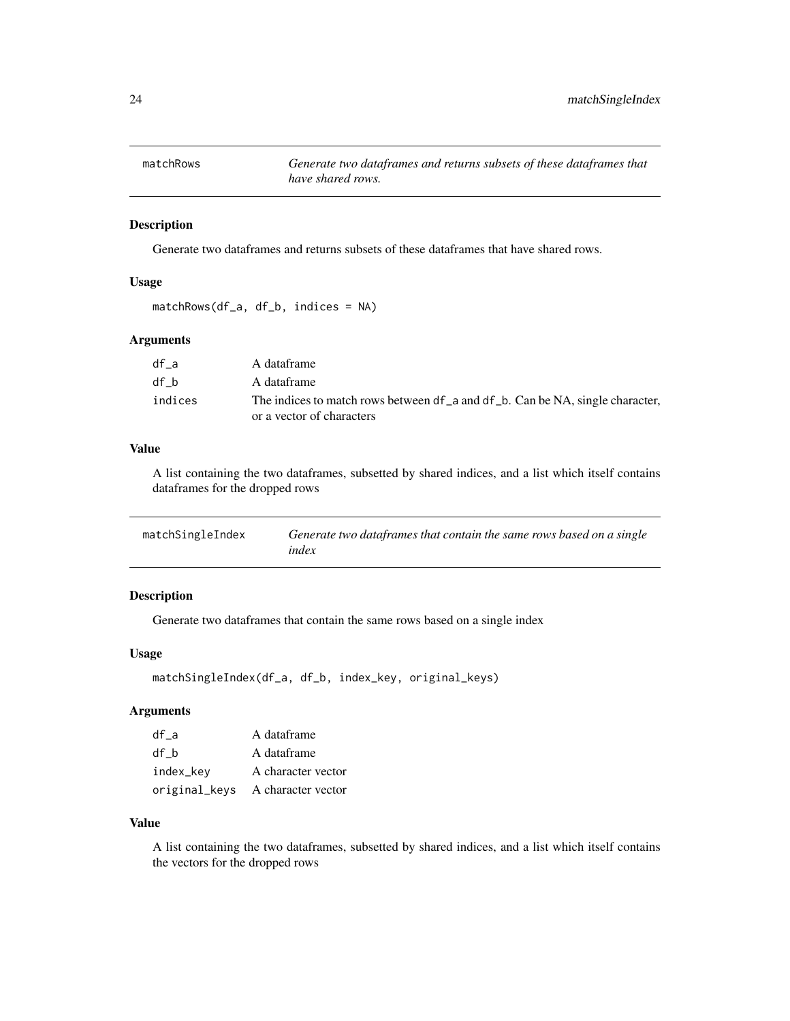<span id="page-23-0"></span>

Generate two dataframes and returns subsets of these dataframes that have shared rows.

#### Usage

```
matchRows(df_a, df_b, indices = NA)
```
### Arguments

| df a    | A dataframe                                                                   |
|---------|-------------------------------------------------------------------------------|
| df b    | A dataframe                                                                   |
| indices | The indices to match rows between df a and df b. Can be NA, single character, |
|         | or a vector of characters                                                     |

#### Value

A list containing the two dataframes, subsetted by shared indices, and a list which itself contains dataframes for the dropped rows

| matchSingleIndex | Generate two dataframes that contain the same rows based on a single |
|------------------|----------------------------------------------------------------------|
|                  | index                                                                |

### Description

Generate two dataframes that contain the same rows based on a single index

#### Usage

```
matchSingleIndex(df_a, df_b, index_key, original_keys)
```
### Arguments

| df a      | A dataframe                      |
|-----------|----------------------------------|
| df b      | A dataframe                      |
| index_key | A character vector               |
|           | original_keys A character vector |

#### Value

A list containing the two dataframes, subsetted by shared indices, and a list which itself contains the vectors for the dropped rows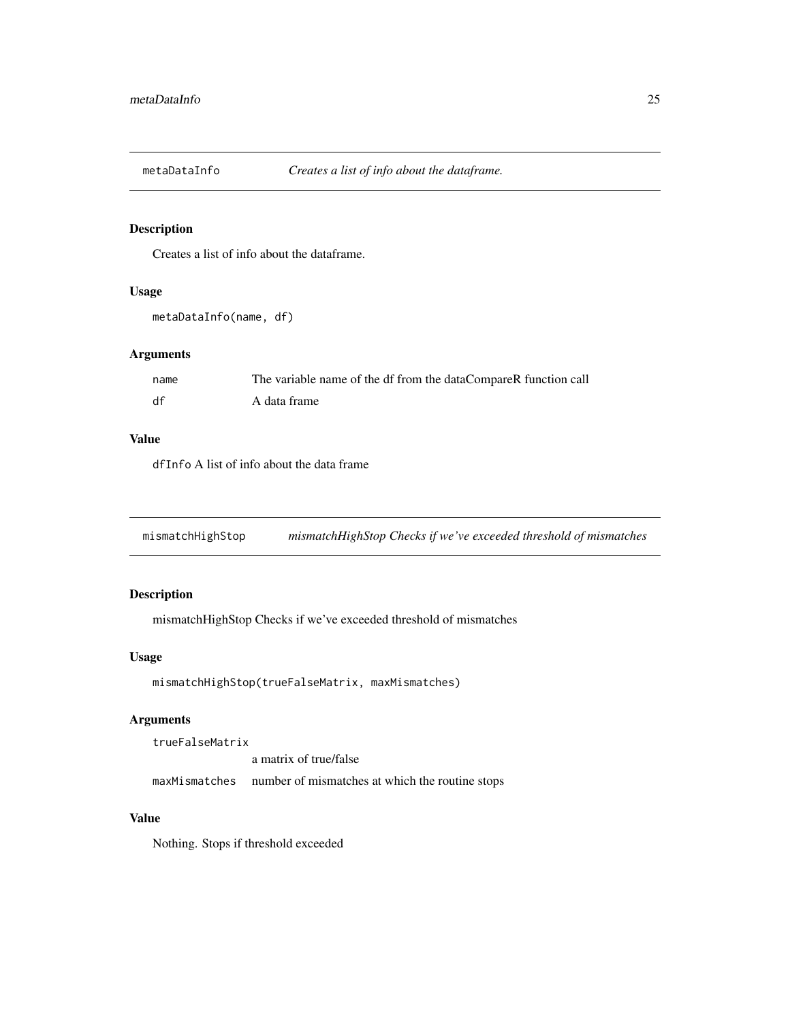<span id="page-24-0"></span>

Creates a list of info about the dataframe.

### Usage

```
metaDataInfo(name, df)
```
### Arguments

| name | The variable name of the df from the dataCompareR function call |
|------|-----------------------------------------------------------------|
| df   | A data frame                                                    |

#### Value

dfInfo A list of info about the data frame

mismatchHighStop *mismatchHighStop Checks if we've exceeded threshold of mismatches*

### Description

mismatchHighStop Checks if we've exceeded threshold of mismatches

#### Usage

```
mismatchHighStop(trueFalseMatrix, maxMismatches)
```
### Arguments

trueFalseMatrix a matrix of true/false maxMismatches number of mismatches at which the routine stops

### Value

Nothing. Stops if threshold exceeded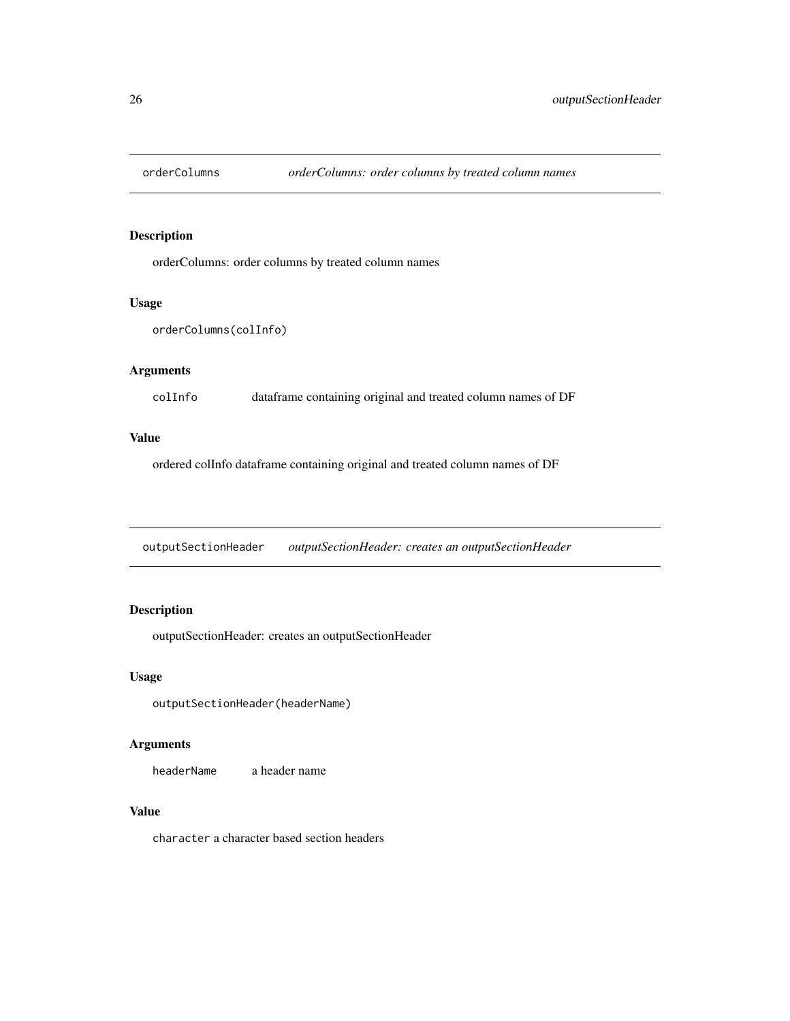<span id="page-25-0"></span>

orderColumns: order columns by treated column names

#### Usage

```
orderColumns(colInfo)
```
### Arguments

colInfo dataframe containing original and treated column names of DF

#### Value

ordered colInfo dataframe containing original and treated column names of DF

outputSectionHeader *outputSectionHeader: creates an outputSectionHeader*

### Description

outputSectionHeader: creates an outputSectionHeader

#### Usage

outputSectionHeader(headerName)

### Arguments

headerName a header name

### Value

character a character based section headers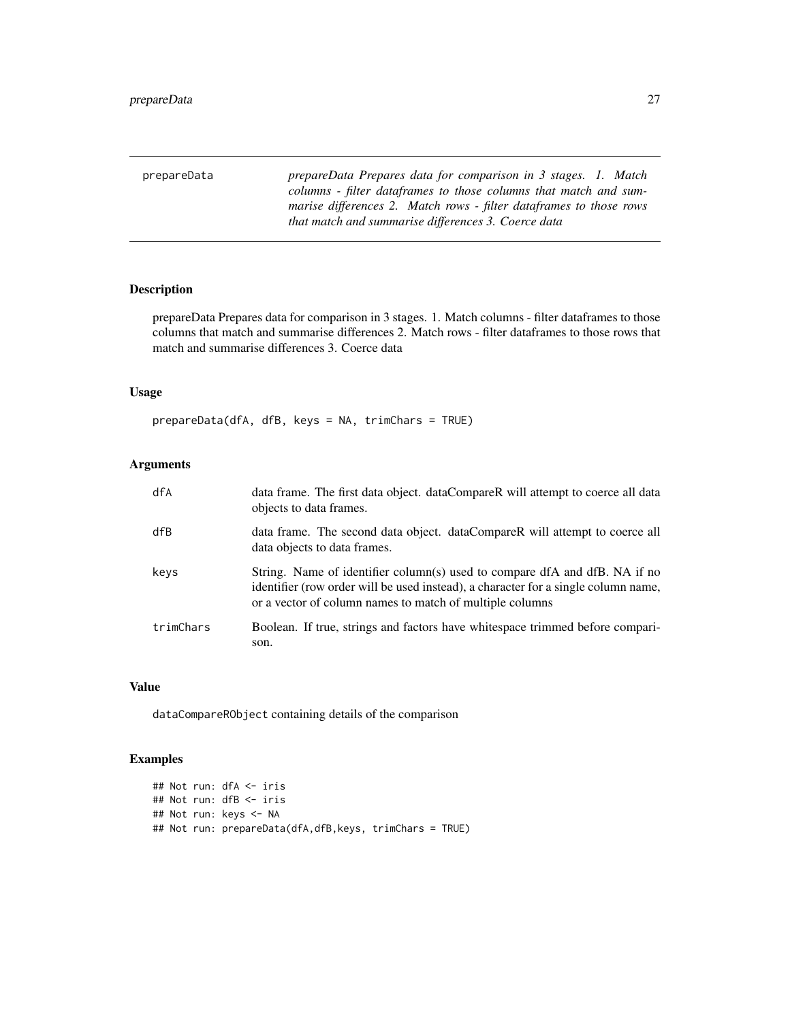<span id="page-26-0"></span>prepareData *prepareData Prepares data for comparison in 3 stages. 1. Match columns - filter dataframes to those columns that match and summarise differences 2. Match rows - filter dataframes to those rows that match and summarise differences 3. Coerce data*

### Description

prepareData Prepares data for comparison in 3 stages. 1. Match columns - filter dataframes to those columns that match and summarise differences 2. Match rows - filter dataframes to those rows that match and summarise differences 3. Coerce data

### Usage

prepareData(dfA, dfB, keys = NA, trimChars = TRUE)

### Arguments

| dfA       | data frame. The first data object. dataCompareR will attempt to coerce all data<br>objects to data frames.                                                                                                                   |
|-----------|------------------------------------------------------------------------------------------------------------------------------------------------------------------------------------------------------------------------------|
| dfB       | data frame. The second data object. dataCompareR will attempt to coerce all<br>data objects to data frames.                                                                                                                  |
| keys      | String. Name of identifier column(s) used to compare dfA and dfB. NA if no<br>identifier (row order will be used instead), a character for a single column name,<br>or a vector of column names to match of multiple columns |
| trimChars | Boolean. If true, strings and factors have white space trimmed before compari-<br>son.                                                                                                                                       |

### Value

dataCompareRObject containing details of the comparison

### Examples

```
## Not run: dfA <- iris
## Not run: dfB <- iris
## Not run: keys <- NA
## Not run: prepareData(dfA,dfB,keys, trimChars = TRUE)
```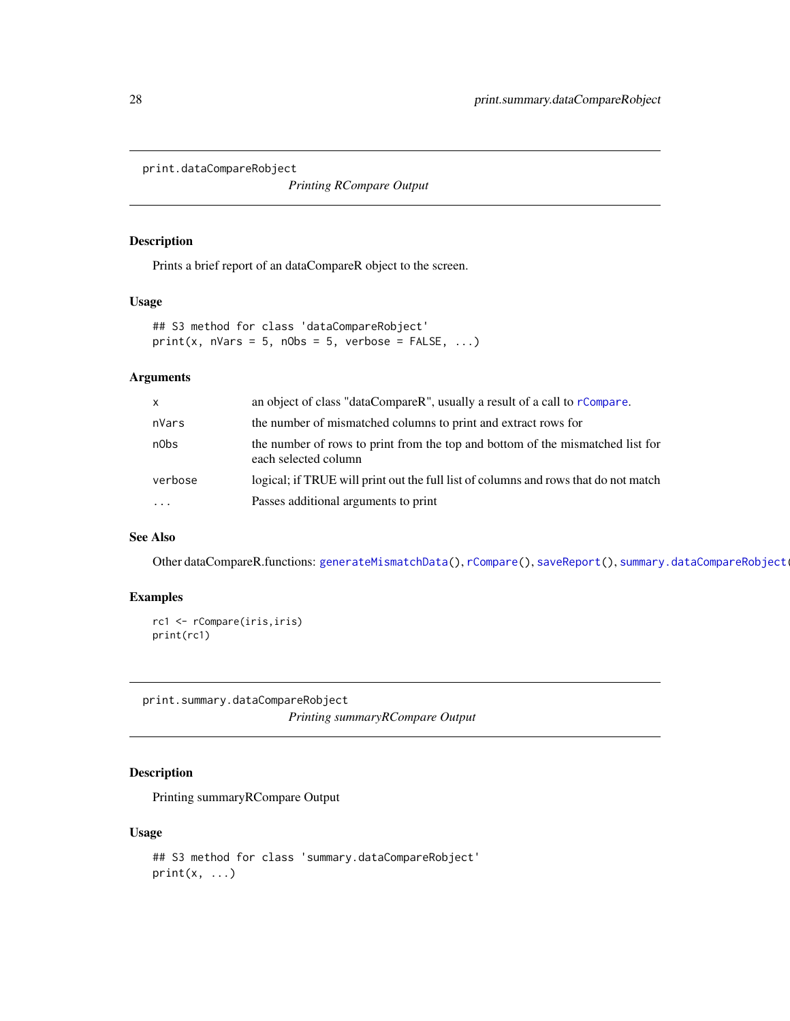<span id="page-27-1"></span><span id="page-27-0"></span>print.dataCompareRobject

*Printing RCompare Output*

#### Description

Prints a brief report of an dataCompareR object to the screen.

#### Usage

## S3 method for class 'dataCompareRobject'  $print(x, nVars = 5, nObs = 5, verbose = FALSE, ...)$ 

### Arguments

| $\mathsf{x}$ | an object of class "dataCompareR", usually a result of a call to rCompare.                             |
|--------------|--------------------------------------------------------------------------------------------------------|
| nVars        | the number of mismatched columns to print and extract rows for                                         |
| n0bs         | the number of rows to print from the top and bottom of the mismatched list for<br>each selected column |
| verbose      | logical; if TRUE will print out the full list of columns and rows that do not match                    |
| $\cdot$      | Passes additional arguments to print                                                                   |

#### See Also

Other dataCompareR.functions: [generateMismatchData\(](#page-15-1)), [rCompare\(](#page-29-1)), [saveReport\(](#page-31-1)), [summary.dataCompareRobject\(](#page-33-1))

#### Examples

```
rc1 <- rCompare(iris,iris)
print(rc1)
```
print.summary.dataCompareRobject *Printing summaryRCompare Output*

### Description

Printing summaryRCompare Output

#### Usage

```
## S3 method for class 'summary.dataCompareRobject'
print(x, \ldots)
```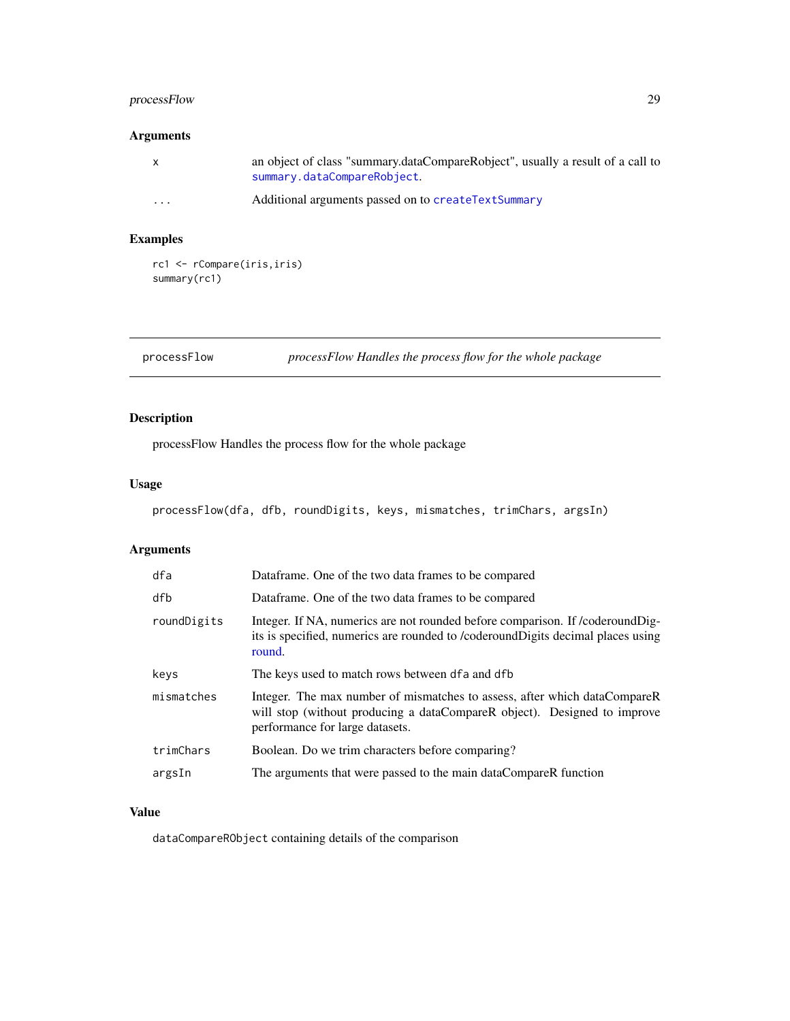### <span id="page-28-0"></span>processFlow 29

### Arguments

|         | an object of class "summary.dataCompareRobject", usually a result of a call to<br>summary.dataCompareRobject. |
|---------|---------------------------------------------------------------------------------------------------------------|
| $\cdot$ | Additional arguments passed on to createTextSummary                                                           |

### Examples

```
rc1 <- rCompare(iris,iris)
summary(rc1)
```
### processFlow *processFlow Handles the process flow for the whole package*

### Description

processFlow Handles the process flow for the whole package

#### Usage

```
processFlow(dfa, dfb, roundDigits, keys, mismatches, trimChars, argsIn)
```
### Arguments

| dfa         | Dataframe. One of the two data frames to be compared                                                                                                                                     |
|-------------|------------------------------------------------------------------------------------------------------------------------------------------------------------------------------------------|
| dfb         | Dataframe. One of the two data frames to be compared                                                                                                                                     |
| roundDigits | Integer. If NA, numerics are not rounded before comparison. If /coderoundDig-<br>its is specified, numerics are rounded to /coderoundDigits decimal places using<br>round.               |
| keys        | The keys used to match rows between dfa and dfb                                                                                                                                          |
| mismatches  | Integer. The max number of mismatches to assess, after which dataCompareR<br>will stop (without producing a dataCompareR object). Designed to improve<br>performance for large datasets. |
| trimChars   | Boolean. Do we trim characters before comparing?                                                                                                                                         |
| argsIn      | The arguments that were passed to the main dataCompareR function                                                                                                                         |
|             |                                                                                                                                                                                          |

### Value

dataCompareRObject containing details of the comparison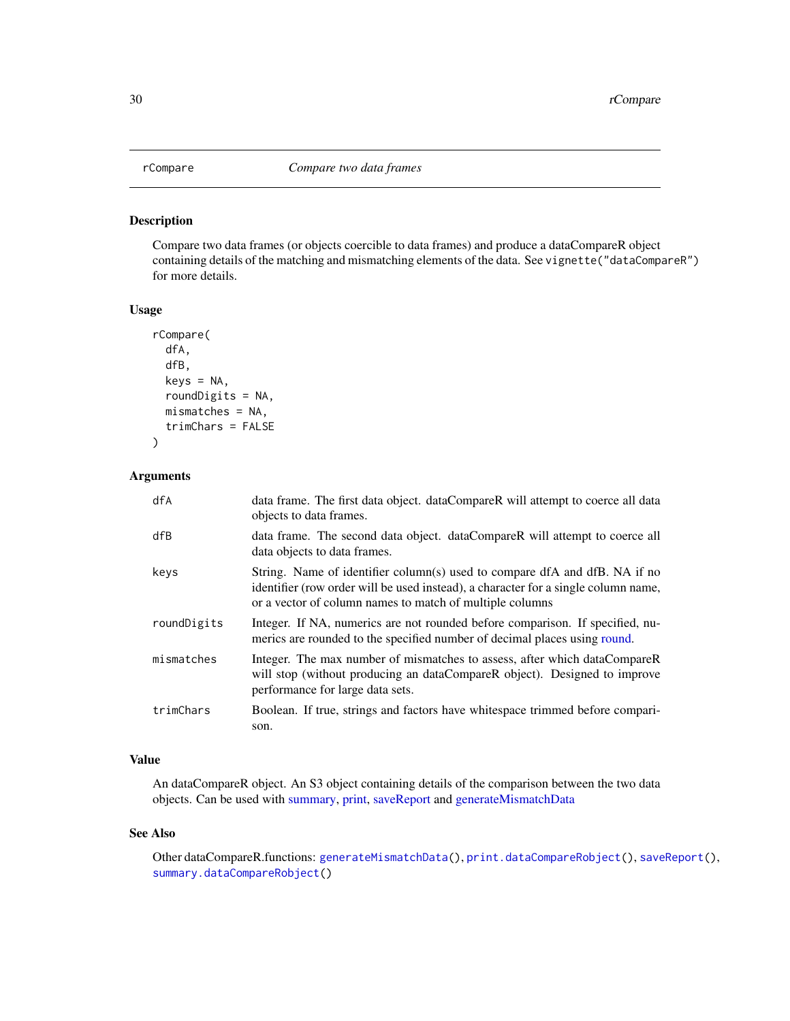<span id="page-29-1"></span><span id="page-29-0"></span>

Compare two data frames (or objects coercible to data frames) and produce a dataCompareR object containing details of the matching and mismatching elements of the data. See vignette("dataCompareR") for more details.

#### Usage

```
rCompare(
  dfA,
  dfB,
 keys = NA,
  roundDigits = NA,
 mismatches = NA,
  trimChars = FALSE
)
```
#### Arguments

| dfA         | data frame. The first data object. dataCompareR will attempt to coerce all data<br>objects to data frames.                                                                                                                   |
|-------------|------------------------------------------------------------------------------------------------------------------------------------------------------------------------------------------------------------------------------|
| dfB         | data frame. The second data object. dataCompareR will attempt to coerce all<br>data objects to data frames.                                                                                                                  |
| keys        | String. Name of identifier column(s) used to compare dfA and dfB. NA if no<br>identifier (row order will be used instead), a character for a single column name,<br>or a vector of column names to match of multiple columns |
| roundDigits | Integer. If NA, numerics are not rounded before comparison. If specified, nu-<br>merics are rounded to the specified number of decimal places using round.                                                                   |
| mismatches  | Integer. The max number of mismatches to assess, after which dataCompareR<br>will stop (without producing an dataCompareR object). Designed to improve<br>performance for large data sets.                                   |
| trimChars   | Boolean. If true, strings and factors have whitespace trimmed before compari-<br>son.                                                                                                                                        |

#### Value

An dataCompareR object. An S3 object containing details of the comparison between the two data objects. Can be used with [summary,](#page-0-0) [print,](#page-0-0) [saveReport](#page-31-1) and [generateMismatchData](#page-15-1)

#### See Also

Other dataCompareR.functions: [generateMismatchData\(](#page-15-1)), [print.dataCompareRobject\(](#page-27-1)), [saveReport\(](#page-31-1)), [summary.dataCompareRobject\(](#page-33-1))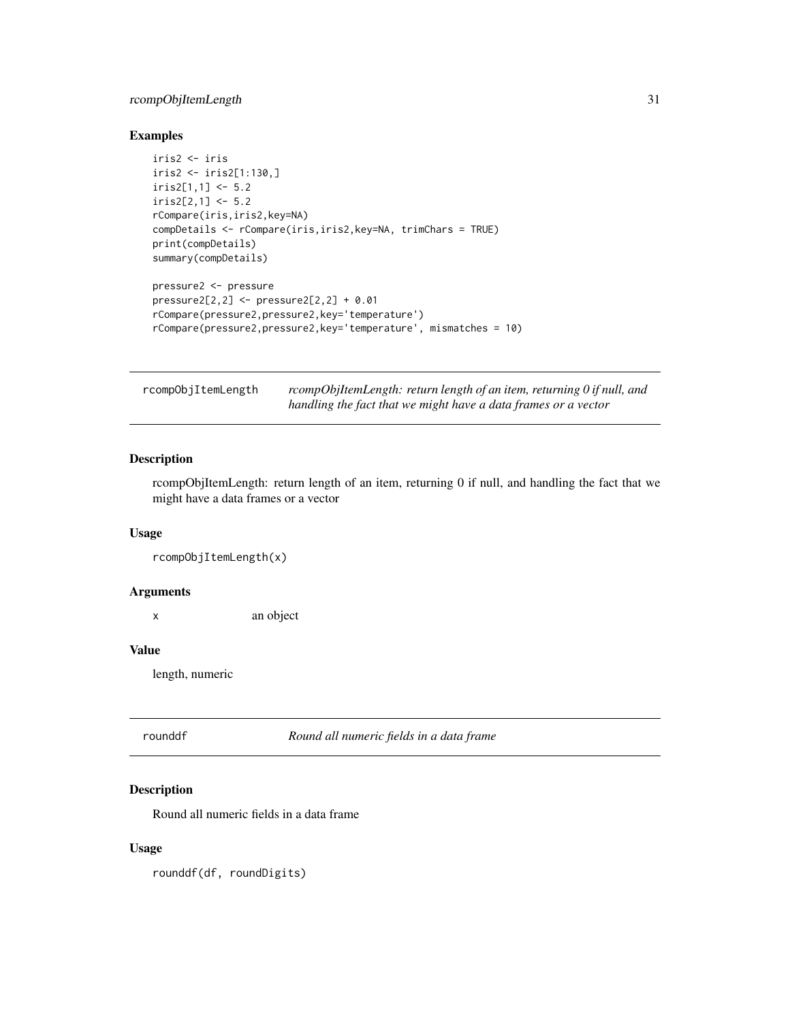### <span id="page-30-0"></span>rcompObjItemLength 31

### Examples

```
iris2 <- iris
iris2 <- iris2[1:130,]
iris2[1,1] < -5.2iris2[2,1] < -5.2rCompare(iris,iris2,key=NA)
compDetails <- rCompare(iris,iris2,key=NA, trimChars = TRUE)
print(compDetails)
summary(compDetails)
pressure2 <- pressure
pressure2[2,2] <- pressure2[2,2] + 0.01
rCompare(pressure2,pressure2,key='temperature')
rCompare(pressure2,pressure2,key='temperature', mismatches = 10)
```

| rcompObjItemLength | rcompObjItemLength: return length of an item, returning 0 if null, and |
|--------------------|------------------------------------------------------------------------|
|                    | handling the fact that we might have a data frames or a vector         |

#### Description

rcompObjItemLength: return length of an item, returning 0 if null, and handling the fact that we might have a data frames or a vector

#### Usage

rcompObjItemLength(x)

#### Arguments

x an object

#### Value

length, numeric

rounddf *Round all numeric fields in a data frame*

#### Description

Round all numeric fields in a data frame

#### Usage

rounddf(df, roundDigits)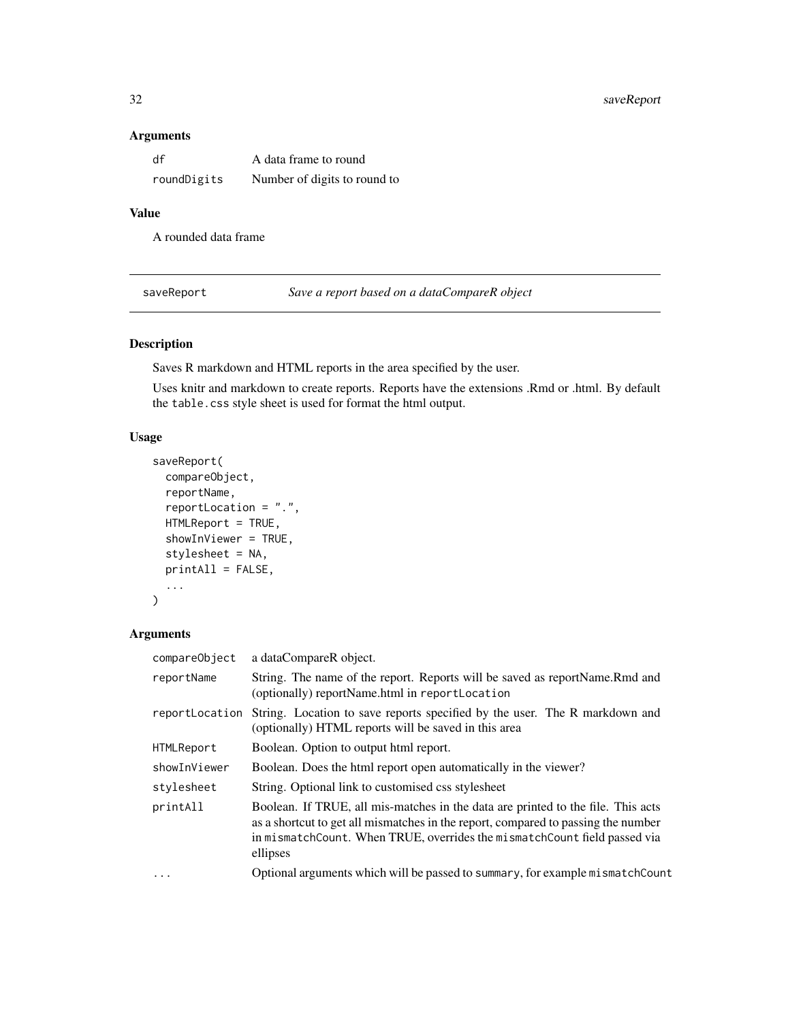#### <span id="page-31-0"></span>Arguments

| df          | A data frame to round        |
|-------------|------------------------------|
| roundDigits | Number of digits to round to |

### Value

A rounded data frame

<span id="page-31-1"></span>saveReport *Save a report based on a dataCompareR object*

### Description

Saves R markdown and HTML reports in the area specified by the user.

Uses knitr and markdown to create reports. Reports have the extensions .Rmd or .html. By default the table.css style sheet is used for format the html output.

### Usage

```
saveReport(
  compareObject,
  reportName,
  reportLocation = ".",
 HTMLReport = TRUE,
  showInViewer = TRUE,
  stylesheet = NA,
 printAll = FALSE,
  ...
)
```
### Arguments

| compareObject  | a dataCompareR object.                                                                                                                                                                                                                                         |
|----------------|----------------------------------------------------------------------------------------------------------------------------------------------------------------------------------------------------------------------------------------------------------------|
| reportName     | String. The name of the report. Reports will be saved as reportName. Rmd and<br>(optionally) reportName.html in reportLocation                                                                                                                                 |
| reportLocation | String. Location to save reports specified by the user. The R markdown and<br>(optionally) HTML reports will be saved in this area                                                                                                                             |
| HTMLReport     | Boolean. Option to output html report.                                                                                                                                                                                                                         |
| showInViewer   | Boolean. Does the html report open automatically in the viewer?                                                                                                                                                                                                |
| stylesheet     | String. Optional link to customised css stylesheet                                                                                                                                                                                                             |
| printAll       | Boolean. If TRUE, all mis-matches in the data are printed to the file. This acts<br>as a shortcut to get all mismatches in the report, compared to passing the number<br>in mismatchCount. When TRUE, overrides the mismatchCount field passed via<br>ellipses |
| $\cdots$       | Optional arguments which will be passed to summary, for example mismatch Count                                                                                                                                                                                 |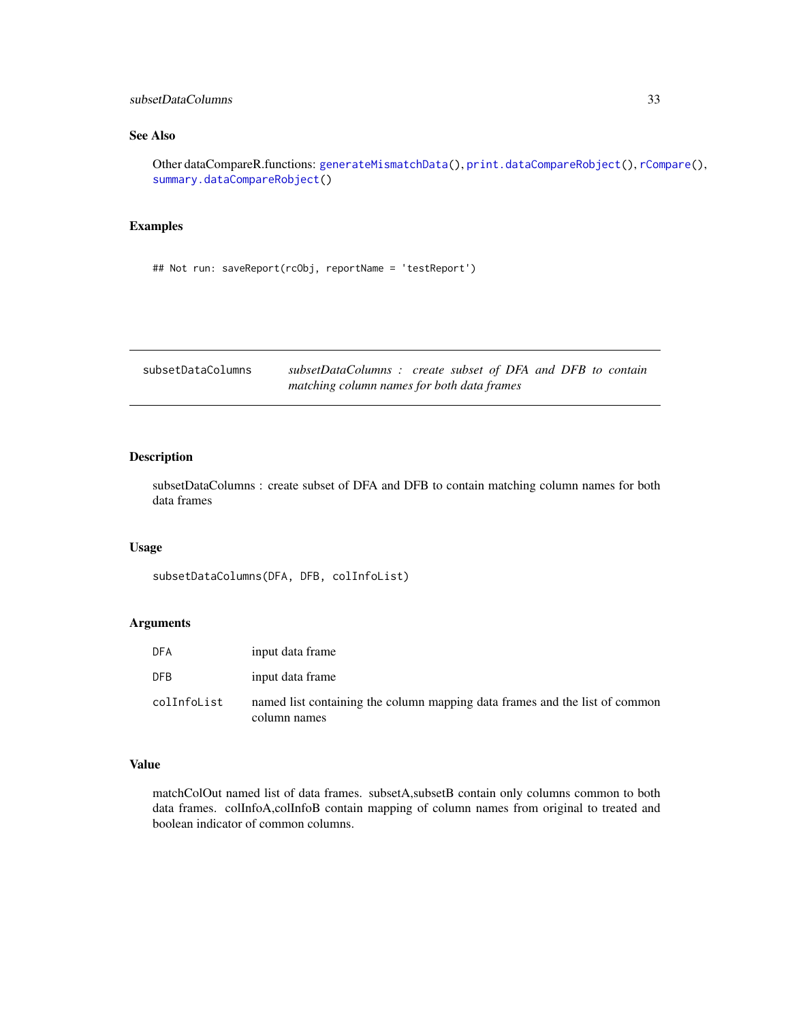### <span id="page-32-0"></span>See Also

Other dataCompareR.functions: [generateMismatchData\(](#page-15-1)), [print.dataCompareRobject\(](#page-27-1)), [rCompare\(](#page-29-1)), [summary.dataCompareRobject\(](#page-33-1))

### Examples

## Not run: saveReport(rcObj, reportName = 'testReport')

subsetDataColumns *subsetDataColumns : create subset of DFA and DFB to contain matching column names for both data frames*

#### Description

subsetDataColumns : create subset of DFA and DFB to contain matching column names for both data frames

#### Usage

subsetDataColumns(DFA, DFB, colInfoList)

### Arguments

| <b>DFA</b>  | input data frame                                                                            |
|-------------|---------------------------------------------------------------------------------------------|
| <b>DFB</b>  | input data frame                                                                            |
| colInfoList | named list containing the column mapping data frames and the list of common<br>column names |

#### Value

matchColOut named list of data frames. subsetA,subsetB contain only columns common to both data frames. colInfoA,colInfoB contain mapping of column names from original to treated and boolean indicator of common columns.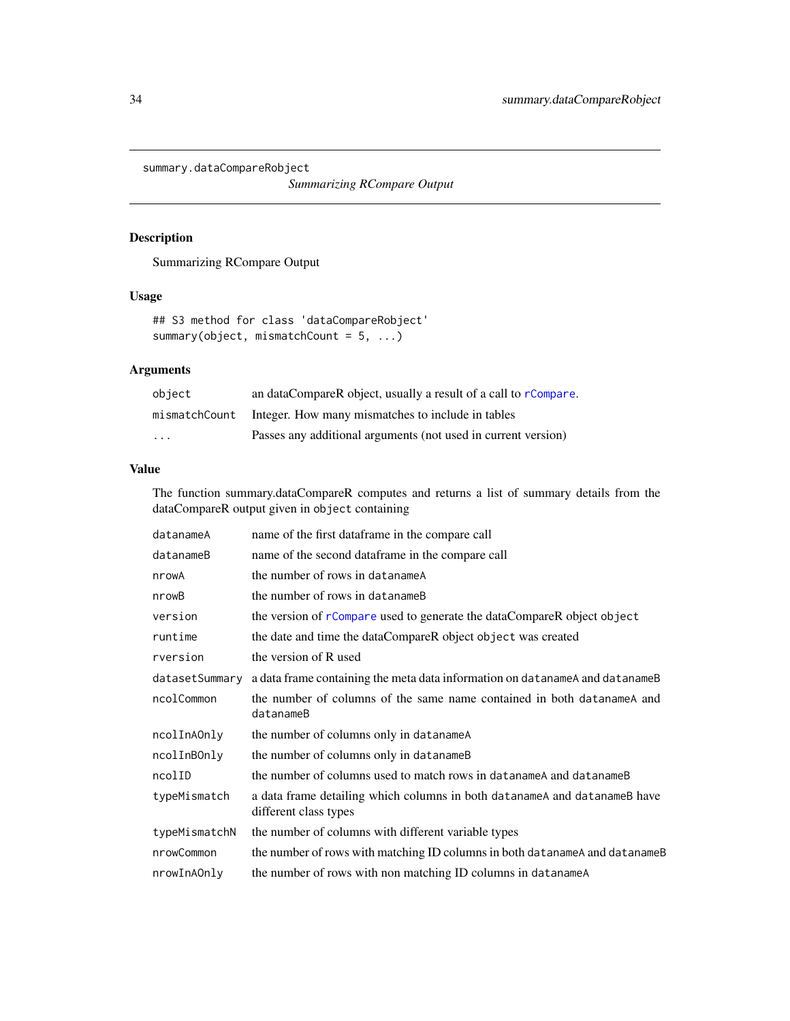<span id="page-33-1"></span><span id="page-33-0"></span>summary.dataCompareRobject

*Summarizing RCompare Output*

### Description

Summarizing RCompare Output

### Usage

```
## S3 method for class 'dataCompareRobject'
summary(object, mismatchCount = 5, ...)
```
### Arguments

| object        | an dataCompareR object, usually a result of a call to rCompare. |
|---------------|-----------------------------------------------------------------|
| mismatchCount | Integer. How many mismatches to include in tables               |
| .             | Passes any additional arguments (not used in current version)   |

#### Value

The function summary.dataCompareR computes and returns a list of summary details from the dataCompareR output given in object containing

| datanameA      | name of the first dataframe in the compare call                                                    |
|----------------|----------------------------------------------------------------------------------------------------|
| datanameB      | name of the second dataframe in the compare call                                                   |
| nrowA          | the number of rows in datanameA                                                                    |
| nrowB          | the number of rows in datanameB                                                                    |
| version        | the version of rCompare used to generate the dataCompareR object object                            |
| runtime        | the date and time the dataCompareR object object was created                                       |
| rversion       | the version of R used                                                                              |
| datasetSummary | a data frame containing the meta data information on datanameA and datanameB                       |
| ncolCommon     | the number of columns of the same name contained in both data name A and<br>datanameB              |
| ncolInAOnly    | the number of columns only in datanameA                                                            |
| ncolInBOnly    | the number of columns only in datanameB                                                            |
| ncolID         | the number of columns used to match rows in data name A and data name B                            |
| typeMismatch   | a data frame detailing which columns in both datanameA and datanameB have<br>different class types |
| typeMismatchN  | the number of columns with different variable types                                                |
| nrowCommon     | the number of rows with matching ID columns in both datanameA and datanameB                        |
| nrowInAOnly    | the number of rows with non matching ID columns in datanameA                                       |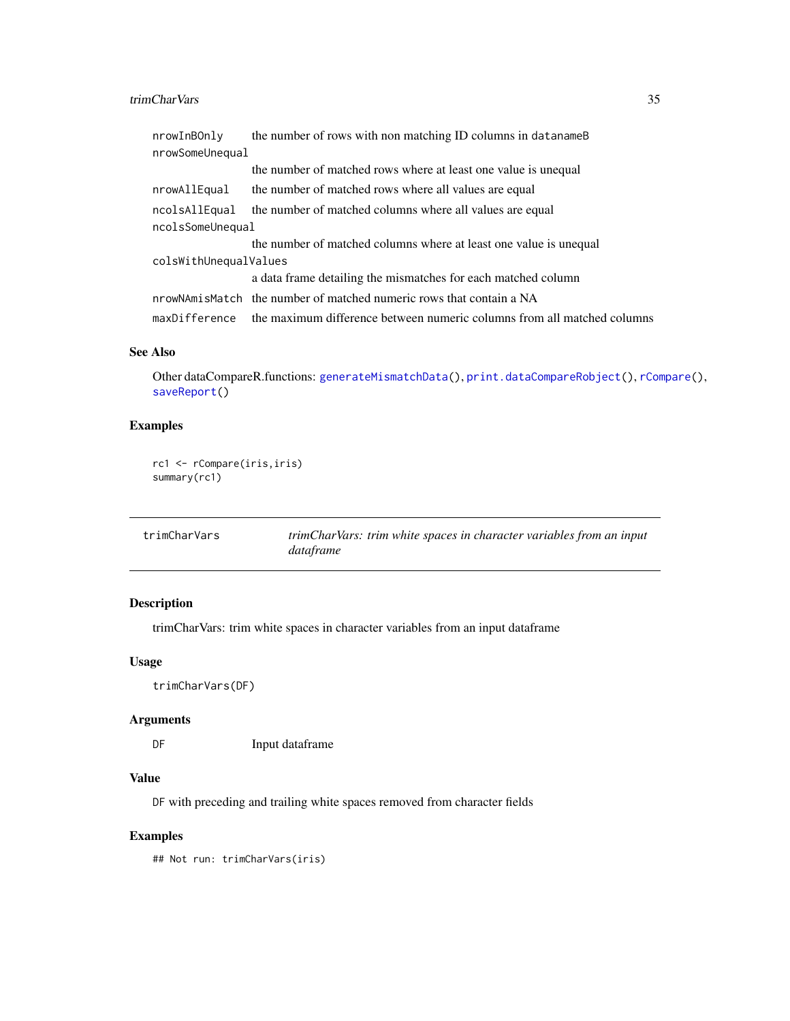#### <span id="page-34-0"></span>trimCharVars 35

| nrowInBOnly           | the number of rows with non matching ID columns in data name B                        |  |
|-----------------------|---------------------------------------------------------------------------------------|--|
| nrowSomeUnequal       |                                                                                       |  |
|                       | the number of matched rows where at least one value is unequal                        |  |
| nrowAllEqual          | the number of matched rows where all values are equal                                 |  |
| ncolsAllEqual         | the number of matched columns where all values are equal                              |  |
| ncolsSomeUnequal      |                                                                                       |  |
|                       | the number of matched columns where at least one value is unequal                     |  |
| colsWithUnequalValues |                                                                                       |  |
|                       | a data frame detailing the mismatches for each matched column                         |  |
|                       | nrowNAmisMatch the number of matched numeric rows that contain a NA                   |  |
|                       | maxDifference the maximum difference between numeric columns from all matched columns |  |

### See Also

Other dataCompareR.functions: [generateMismatchData\(](#page-15-1)), [print.dataCompareRobject\(](#page-27-1)), [rCompare\(](#page-29-1)), [saveReport\(](#page-31-1))

### Examples

```
rc1 <- rCompare(iris,iris)
summary(rc1)
```

| trimCharVars | trimCharVars: trim white spaces in character variables from an input |
|--------------|----------------------------------------------------------------------|
|              | dataframe                                                            |

### Description

trimCharVars: trim white spaces in character variables from an input dataframe

#### Usage

```
trimCharVars(DF)
```
#### Arguments

DF Input dataframe

### Value

DF with preceding and trailing white spaces removed from character fields

### Examples

## Not run: trimCharVars(iris)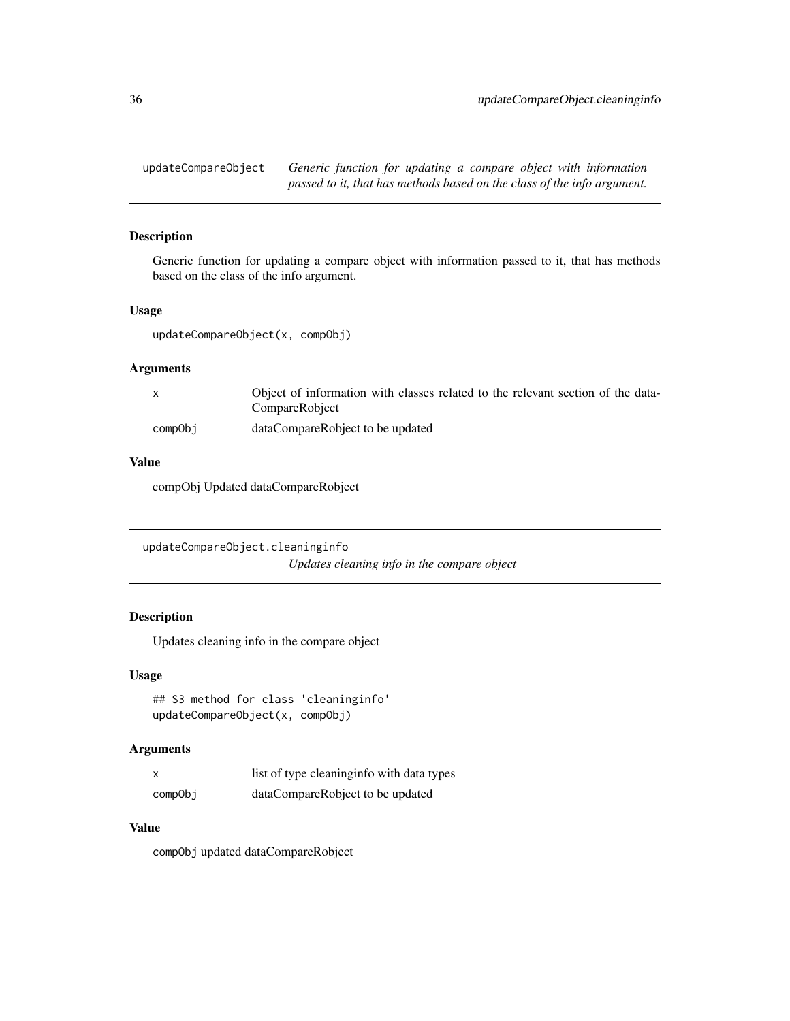<span id="page-35-0"></span>updateCompareObject *Generic function for updating a compare object with information passed to it, that has methods based on the class of the info argument.*

#### Description

Generic function for updating a compare object with information passed to it, that has methods based on the class of the info argument.

#### Usage

updateCompareObject(x, compObj)

### Arguments

|         | Object of information with classes related to the relevant section of the data- |
|---------|---------------------------------------------------------------------------------|
|         | CompareRobject                                                                  |
| compObi | dataCompareRobject to be updated                                                |

#### Value

compObj Updated dataCompareRobject

```
updateCompareObject.cleaninginfo
                         Updates cleaning info in the compare object
```
### Description

Updates cleaning info in the compare object

#### Usage

```
## S3 method for class 'cleaninginfo'
updateCompareObject(x, compObj)
```
#### Arguments

|         | list of type cleaning info with data types |
|---------|--------------------------------------------|
| compObi | dataCompareRobject to be updated           |

#### Value

compObj updated dataCompareRobject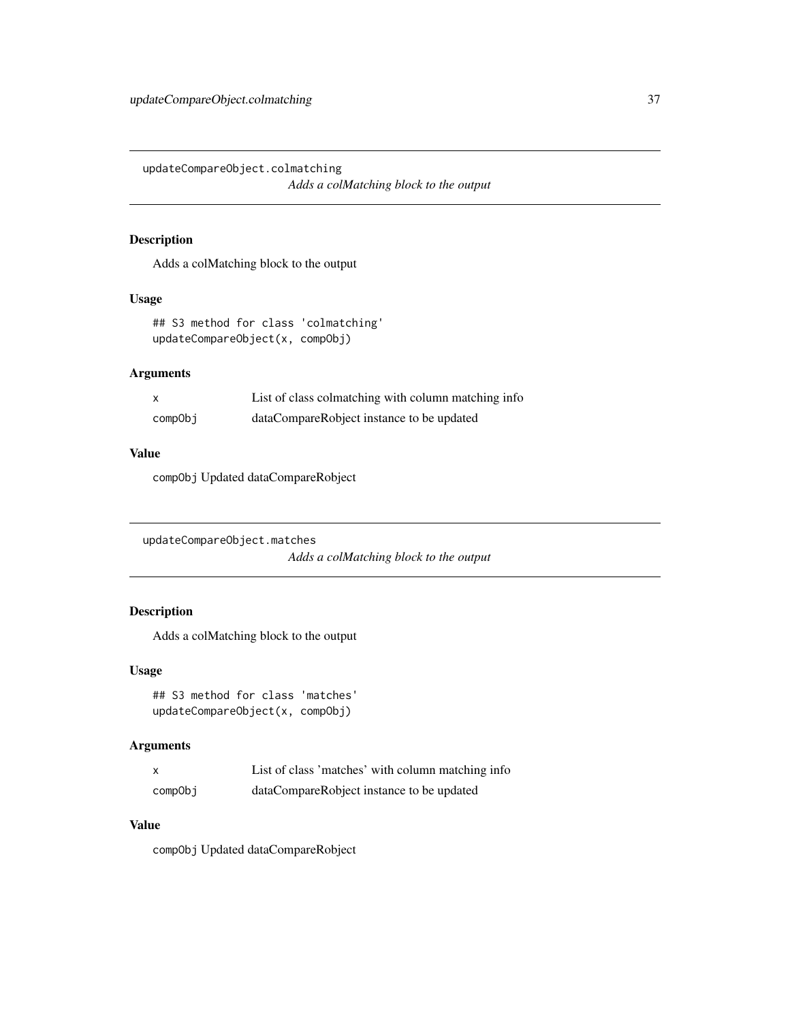<span id="page-36-0"></span>updateCompareObject.colmatching *Adds a colMatching block to the output*

### Description

Adds a colMatching block to the output

#### Usage

```
## S3 method for class 'colmatching'
updateCompareObject(x, compObj)
```
### Arguments

|         | List of class colmatching with column matching info |
|---------|-----------------------------------------------------|
| compObi | dataCompareRobject instance to be updated           |

#### Value

compObj Updated dataCompareRobject

```
updateCompareObject.matches
                         Adds a colMatching block to the output
```
### Description

Adds a colMatching block to the output

#### Usage

```
## S3 method for class 'matches'
updateCompareObject(x, compObj)
```
### Arguments

| $\boldsymbol{\mathsf{x}}$ | List of class 'matches' with column matching info |
|---------------------------|---------------------------------------------------|
| compObj                   | dataCompareRobject instance to be updated         |

### Value

compObj Updated dataCompareRobject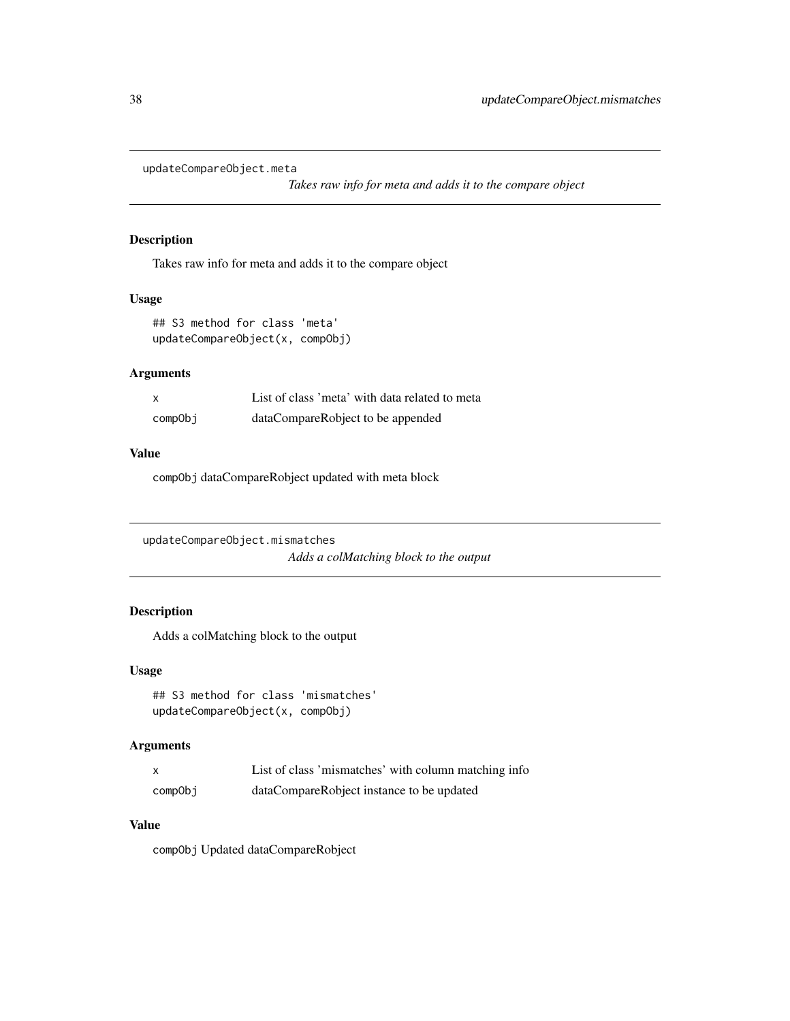<span id="page-37-0"></span>updateCompareObject.meta

*Takes raw info for meta and adds it to the compare object*

### Description

Takes raw info for meta and adds it to the compare object

### Usage

```
## S3 method for class 'meta'
updateCompareObject(x, compObj)
```
### Arguments

| X       | List of class 'meta' with data related to meta |
|---------|------------------------------------------------|
| compObi | dataCompareRobject to be appended              |

#### Value

compObj dataCompareRobject updated with meta block

```
updateCompareObject.mismatches
                         Adds a colMatching block to the output
```
### Description

Adds a colMatching block to the output

#### Usage

```
## S3 method for class 'mismatches'
updateCompareObject(x, compObj)
```
### Arguments

|         | List of class 'mismatches' with column matching info |
|---------|------------------------------------------------------|
| compObi | dataCompareRobject instance to be updated            |

### Value

compObj Updated dataCompareRobject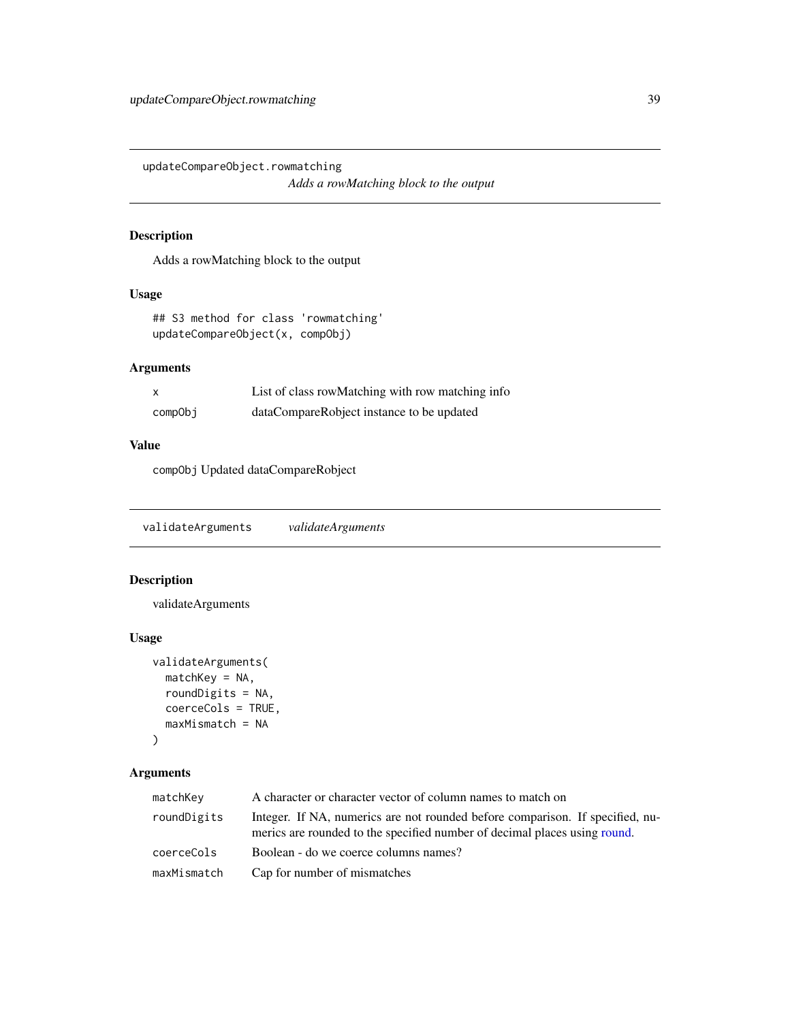<span id="page-38-0"></span>updateCompareObject.rowmatching *Adds a rowMatching block to the output*

### Description

Adds a rowMatching block to the output

### Usage

```
## S3 method for class 'rowmatching'
updateCompareObject(x, compObj)
```
### Arguments

|         | List of class row Matching with row matching info |
|---------|---------------------------------------------------|
| compObi | dataCompareRobject instance to be updated         |

#### Value

compObj Updated dataCompareRobject

validateArguments *validateArguments*

### Description

validateArguments

### Usage

```
validateArguments(
  matchKey = NA,
  roundDigits = NA,
  coerceCols = TRUE,
  maxMismatch = NA
\mathcal{E}
```
#### Arguments

| matchKey    | A character or character vector of column names to match on                                                                                                |
|-------------|------------------------------------------------------------------------------------------------------------------------------------------------------------|
| roundDigits | Integer. If NA, numerics are not rounded before comparison. If specified, nu-<br>merics are rounded to the specified number of decimal places using round. |
| coerceCols  | Boolean - do we coerce columns names?                                                                                                                      |
| maxMismatch | Cap for number of mismatches                                                                                                                               |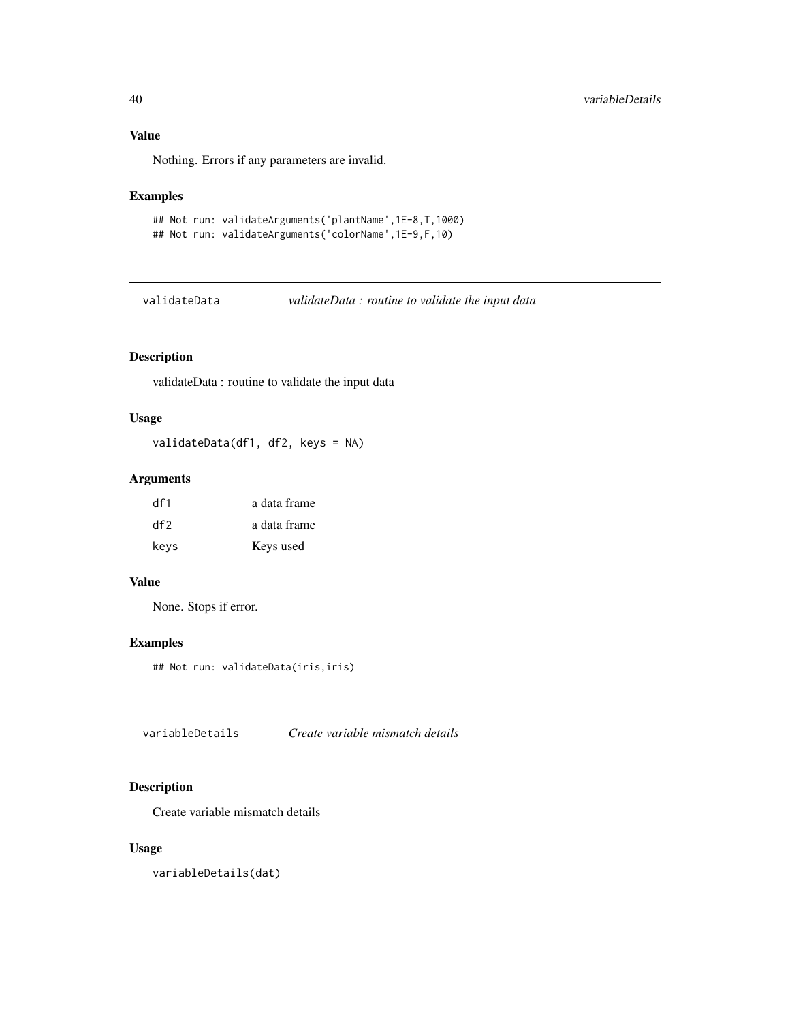### Value

Nothing. Errors if any parameters are invalid.

### Examples

```
## Not run: validateArguments('plantName',1E-8,T,1000)
## Not run: validateArguments('colorName',1E-9,F,10)
```
validateData *validateData : routine to validate the input data*

### Description

validateData : routine to validate the input data

### Usage

validateData(df1, df2, keys = NA)

### Arguments

| df1  | a data frame |
|------|--------------|
| df2  | a data frame |
| keys | Keys used    |

### Value

None. Stops if error.

#### Examples

## Not run: validateData(iris,iris)

variableDetails *Create variable mismatch details*

### Description

Create variable mismatch details

### Usage

variableDetails(dat)

<span id="page-39-0"></span>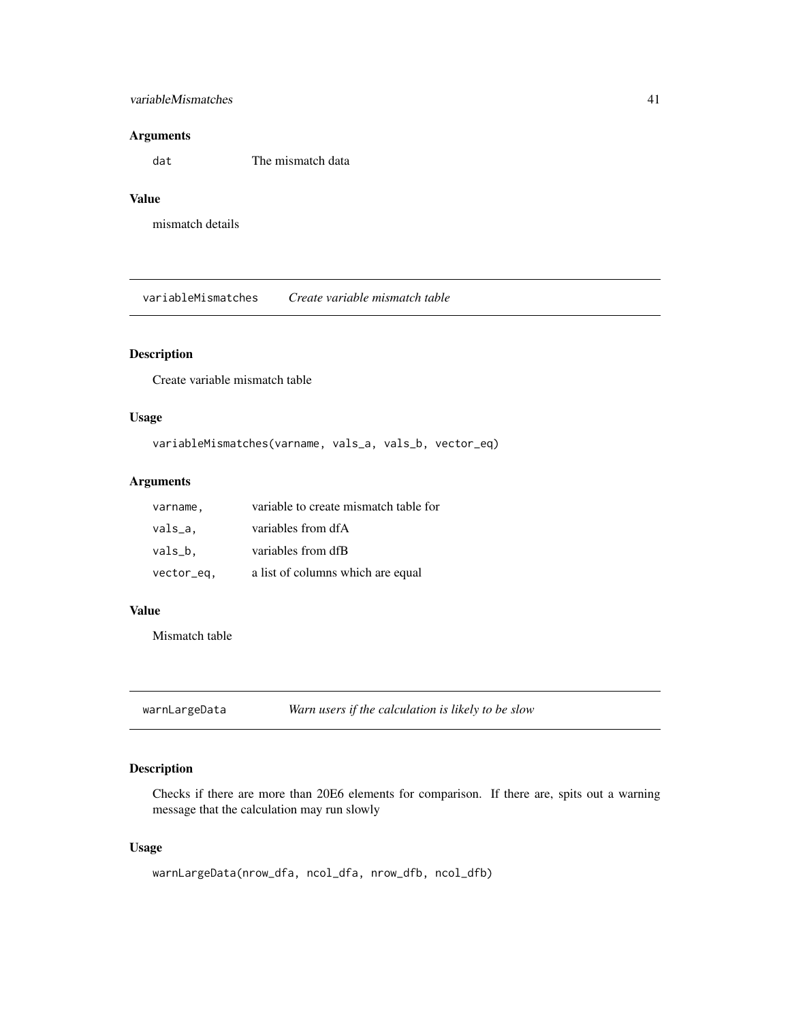### <span id="page-40-0"></span>variableMismatches 41

#### Arguments

dat The mismatch data

### Value

mismatch details

variableMismatches *Create variable mismatch table*

### Description

Create variable mismatch table

### Usage

```
variableMismatches(varname, vals_a, vals_b, vector_eq)
```
### Arguments

| varname,   | variable to create mismatch table for |
|------------|---------------------------------------|
| vals_a.    | variables from dfA                    |
| vals_b.    | variables from dfB                    |
| vector_eq, | a list of columns which are equal     |

### Value

Mismatch table

warnLargeData *Warn users if the calculation is likely to be slow*

### Description

Checks if there are more than 20E6 elements for comparison. If there are, spits out a warning message that the calculation may run slowly

#### Usage

```
warnLargeData(nrow_dfa, ncol_dfa, nrow_dfb, ncol_dfb)
```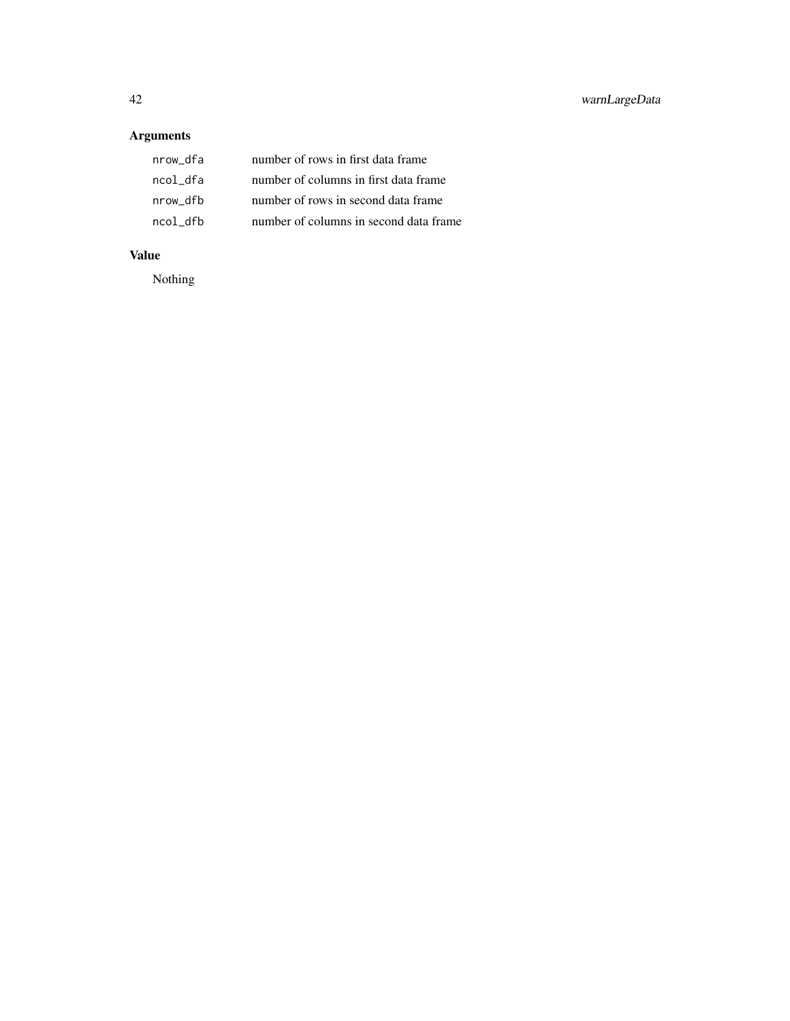### Arguments

| nrow_dfa | number of rows in first data frame     |
|----------|----------------------------------------|
| ncol dfa | number of columns in first data frame  |
| nrow dfb | number of rows in second data frame    |
| ncol dfb | number of columns in second data frame |

### Value

Nothing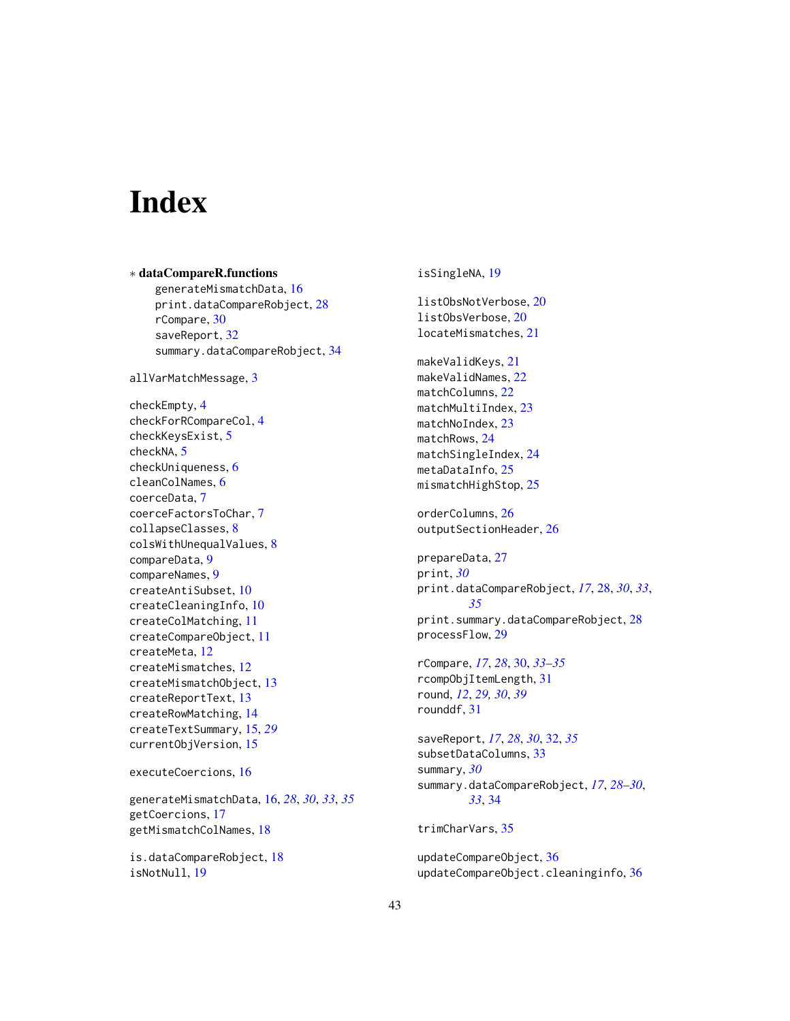# <span id="page-42-0"></span>**Index**

∗ dataCompareR.functions generateMismatchData, [16](#page-15-0) print.dataCompareRobject, [28](#page-27-0) rCompare, [30](#page-29-0) saveReport, [32](#page-31-0) summary.dataCompareRobject, [34](#page-33-0) allVarMatchMessage, [3](#page-2-0) checkEmpty, [4](#page-3-0) checkForRCompareCol, [4](#page-3-0) checkKeysExist, [5](#page-4-0) checkNA, [5](#page-4-0) checkUniqueness, [6](#page-5-0) cleanColNames, [6](#page-5-0) coerceData, [7](#page-6-0) coerceFactorsToChar, [7](#page-6-0) collapseClasses, [8](#page-7-0) colsWithUnequalValues, [8](#page-7-0) compareData, [9](#page-8-0) compareNames, [9](#page-8-0) createAntiSubset, [10](#page-9-0) createCleaningInfo, [10](#page-9-0) createColMatching, [11](#page-10-0) createCompareObject, [11](#page-10-0) createMeta, [12](#page-11-0) createMismatches, [12](#page-11-0) createMismatchObject, [13](#page-12-0) createReportText, [13](#page-12-0) createRowMatching, [14](#page-13-0) createTextSummary, [15,](#page-14-0) *[29](#page-28-0)* currentObjVersion, [15](#page-14-0) executeCoercions, [16](#page-15-0) generateMismatchData, [16,](#page-15-0) *[28](#page-27-0)*, *[30](#page-29-0)*, *[33](#page-32-0)*, *[35](#page-34-0)* getCoercions, [17](#page-16-0) getMismatchColNames, [18](#page-17-0)

is.dataCompareRobject, [18](#page-17-0) isNotNull, [19](#page-18-0)

isSingleNA, [19](#page-18-0) listObsNotVerbose, [20](#page-19-0) listObsVerbose, [20](#page-19-0) locateMismatches, [21](#page-20-0) makeValidKeys, [21](#page-20-0) makeValidNames, [22](#page-21-0) matchColumns, [22](#page-21-0) matchMultiIndex, [23](#page-22-0) matchNoIndex, [23](#page-22-0) matchRows, [24](#page-23-0) matchSingleIndex, [24](#page-23-0) metaDataInfo, [25](#page-24-0) mismatchHighStop, [25](#page-24-0) orderColumns, [26](#page-25-0) outputSectionHeader, [26](#page-25-0) prepareData, [27](#page-26-0) print, *[30](#page-29-0)* print.dataCompareRobject, *[17](#page-16-0)*, [28,](#page-27-0) *[30](#page-29-0)*, *[33](#page-32-0)*, *[35](#page-34-0)* print.summary.dataCompareRobject, [28](#page-27-0) processFlow, [29](#page-28-0) rCompare, *[17](#page-16-0)*, *[28](#page-27-0)*, [30,](#page-29-0) *[33](#page-32-0)[–35](#page-34-0)* rcompObjItemLength, [31](#page-30-0) round, *[12](#page-11-0)*, *[29,](#page-28-0) [30](#page-29-0)*, *[39](#page-38-0)* rounddf, [31](#page-30-0) saveReport, *[17](#page-16-0)*, *[28](#page-27-0)*, *[30](#page-29-0)*, [32,](#page-31-0) *[35](#page-34-0)* subsetDataColumns, [33](#page-32-0) summary, *[30](#page-29-0)* summary.dataCompareRobject, *[17](#page-16-0)*, *[28](#page-27-0)[–30](#page-29-0)*, *[33](#page-32-0)*, [34](#page-33-0) trimCharVars, [35](#page-34-0) updateCompareObject, [36](#page-35-0) updateCompareObject.cleaninginfo, [36](#page-35-0)